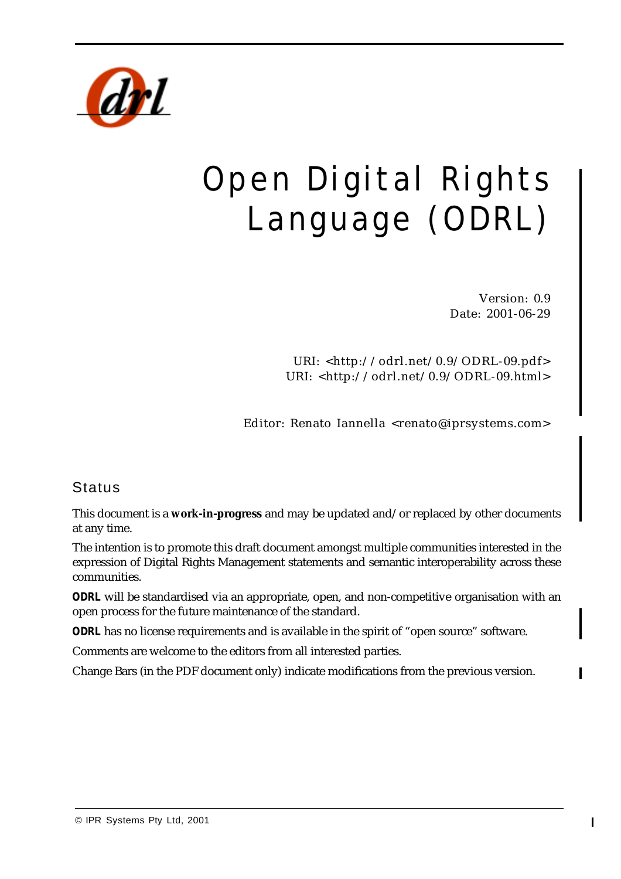

# Open Digital Rights Language (ODRL)

Version: 0.9 Date: 2001-06-29

URI: [<http://odrl.net/0.9/ODRL-09.pdf>](http://odrl.net/0.9/ODRL-09.pdf) URI: [<http://odrl.net/0.9/ODRL-09.html>](http://odrl.net/0.9/ODRL-09.html)

Editor: Renato Iannella <renato@iprsystems.com>

# **Status**

This document is a **work-in-progress** and may be updated and/or replaced by other documents at any time.

The intention is to promote this draft document amongst multiple communities interested in the expression of Digital Rights Management statements and semantic interoperability across these communities.

*ODRL* will be standardised via an appropriate, open, and non-competitive organisation with an open process for the future maintenance of the standard.

*ODRL* has no license requirements and is available in the spirit of "open source" software.

Comments are welcome to the editors from all interested parties.

Change Bars (in the PDF document only) indicate modifications from the previous version.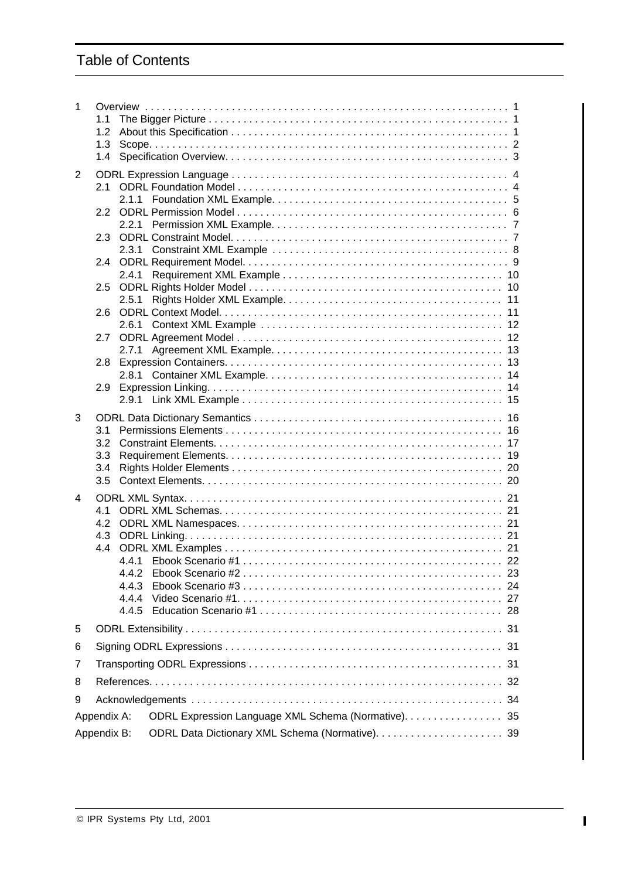# Table of Contents

| 1 | 1.1<br>1.2<br>1.3<br>1.4                                                                                                |    |  |  |  |
|---|-------------------------------------------------------------------------------------------------------------------------|----|--|--|--|
| 2 | 21<br>2.1.1<br>2.2<br>221<br>2.3<br>2.3.1<br>2.4<br>2.4.1<br>2.5<br>2.5.1<br>2.6<br>2.6.1<br>2.7<br>2.7.1<br>2.8<br>2.9 |    |  |  |  |
| 3 | 3.1<br>3.2<br>3.3<br>3.4<br>3.5                                                                                         | 16 |  |  |  |
| 4 | 4.1<br>4.2<br>4.3<br>4.4<br>4.4.1<br>4.4.2<br>4.4.3<br>4.4.4<br>4.4.5                                                   |    |  |  |  |
| 5 |                                                                                                                         |    |  |  |  |
| 6 |                                                                                                                         |    |  |  |  |
| 7 |                                                                                                                         |    |  |  |  |
| 8 |                                                                                                                         |    |  |  |  |
| 9 |                                                                                                                         |    |  |  |  |
|   | ODRL Expression Language XML Schema (Normative). 35<br>Appendix A:                                                      |    |  |  |  |
|   | Appendix B:                                                                                                             |    |  |  |  |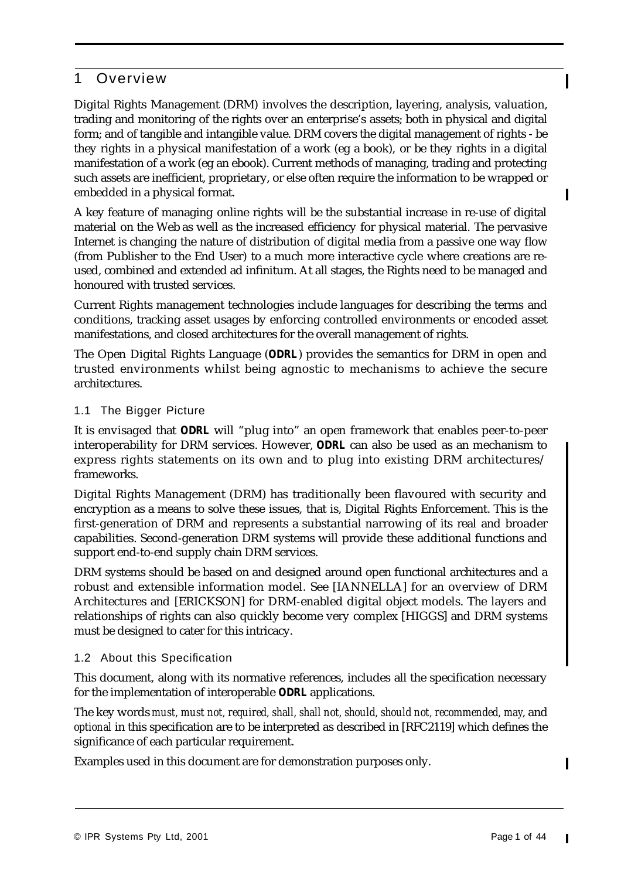# 1 Overview

Digital Rights Management (DRM) involves the description, layering, analysis, valuation, trading and monitoring of the rights over an enterprise's assets; both in physical and digital form; and of tangible and intangible value. DRM covers the digital management of rights - be they rights in a physical manifestation of a work (eg a book), or be they rights in a digital manifestation of a work (eg an ebook). Current methods of managing, trading and protecting such assets are inefficient, proprietary, or else often require the information to be wrapped or embedded in a physical format.

A key feature of managing online rights will be the substantial increase in re-use of digital material on the Web as well as the increased efficiency for physical material. The pervasive Internet is changing the nature of distribution of digital media from a passive one way flow (from Publisher to the End User) to a much more interactive cycle where creations are reused, combined and extended ad infinitum. At all stages, the Rights need to be managed and honoured with trusted services.

Current Rights management technologies include languages for describing the terms and conditions, tracking asset usages by enforcing controlled environments or encoded asset manifestations, and closed architectures for the overall management of rights.

The Open Digital Rights Language (*ODRL*) provides the semantics for DRM in open and trusted environments whilst being agnostic to mechanisms to achieve the secure architectures.

## 1.1 The Bigger Picture

It is envisaged that *ODRL* will "plug into" an open framework that enables peer-to-peer interoperability for DRM services. However, *ODRL* can also be used as an mechanism to express rights statements on its own and to plug into existing DRM architectures/ frameworks.

Digital Rights Management (DRM) has traditionally been flavoured with security and encryption as a means to solve these issues, that is, Digital Rights Enforcement. This is the first-generation of DRM and represents a substantial narrowing of its real and broader capabilities. Second-generation DRM systems will provide these additional functions and support end-to-end supply chain DRM services.

DRM systems should be based on and designed around open functional architectures and a robust and extensible information model. See [IANNELLA] for an overview of DRM Architectures and [ERICKSON] for DRM-enabled digital object models. The layers and relationships of rights can also quickly become very complex [HIGGS] and DRM systems must be designed to cater for this intricacy.

## 1.2 About this Specification

This document, along with its normative references, includes all the specification necessary for the implementation of interoperable *ODRL* applications.

The key words *must, must not, required, shall, shall not, should, should not, recommended, may*, and *optional* in this specification are to be interpreted as described in [RFC2119] which defines the significance of each particular requirement.

Examples used in this document are for demonstration purposes only.

 $\overline{\phantom{a}}$ 

 $\blacksquare$ 

ı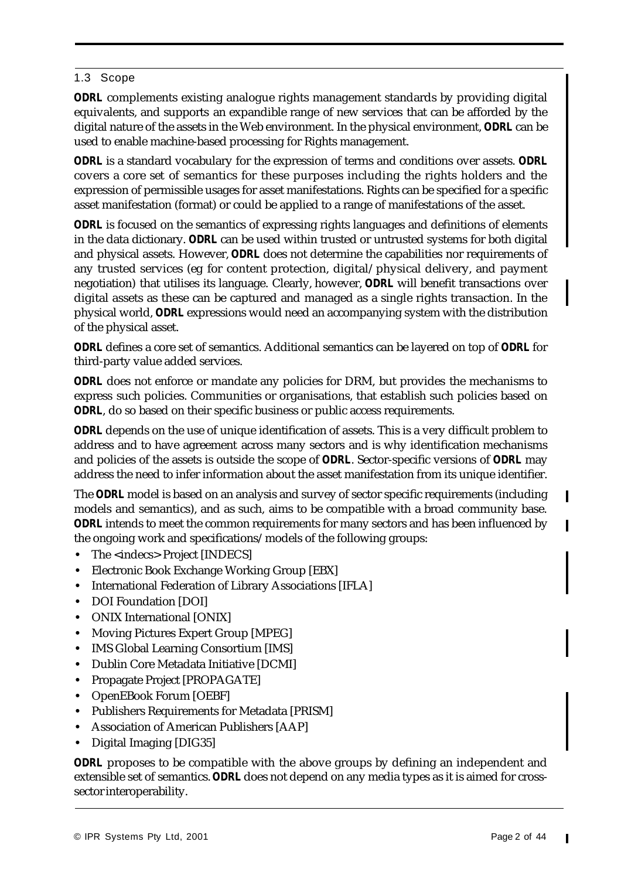# 1.3 Scope

*ODRL* complements existing analogue rights management standards by providing digital equivalents, and supports an expandible range of new services that can be afforded by the digital nature of the assets in the Web environment. In the physical environment, *ODRL* can be used to enable machine-based processing for Rights management.

*ODRL* is a standard vocabulary for the expression of terms and conditions over assets. *ODRL* covers a core set of semantics for these purposes including the rights holders and the expression of permissible usages for asset manifestations. Rights can be specified for a specific asset manifestation (format) or could be applied to a range of manifestations of the asset.

*ODRL* is focused on the semantics of expressing rights languages and definitions of elements in the data dictionary. *ODRL* can be used within trusted or untrusted systems for both digital and physical assets. However, *ODRL* does not determine the capabilities nor requirements of any trusted services (eg for content protection, digital/physical delivery, and payment negotiation) that utilises its language. Clearly, however, *ODRL* will benefit transactions over digital assets as these can be captured and managed as a single rights transaction. In the physical world, *ODRL* expressions would need an accompanying system with the distribution of the physical asset.

*ODRL* defines a core set of semantics. Additional semantics can be layered on top of *ODRL* for third-party value added services.

*ODRL* does not enforce or mandate any policies for DRM, but provides the mechanisms to express such policies. Communities or organisations, that establish such policies based on *ODRL*, do so based on their specific business or public access requirements.

*ODRL* depends on the use of unique identification of assets. This is a very difficult problem to address and to have agreement across many sectors and is why identification mechanisms and policies of the assets is outside the scope of *ODRL*. Sector-specific versions of *ODRL* may address the need to infer information about the asset manifestation from its unique identifier.

The *ODRL* model is based on an analysis and survey of sector specific requirements (including models and semantics), and as such, aims to be compatible with a broad community base. *ODRL* intends to meet the common requirements for many sectors and has been influenced by the ongoing work and specifications/models of the following groups:

- The <indecs> Project [INDECS]
- **•** Electronic Book Exchange Working Group [EBX]
- **•** International Federation of Library Associations [IFLA]
- **•** DOI Foundation [DOI]
- **•** ONIX International [ONIX]
- **•** Moving Pictures Expert Group [MPEG]
- **•** IMS Global Learning Consortium [IMS]
- **•** Dublin Core Metadata Initiative [DCMI]
- **•** Propagate Project [PROPAGATE]
- **•** OpenEBook Forum [OEBF]
- **•** Publishers Requirements for Metadata [PRISM]
- **•** Association of American Publishers [AAP]
- **•** Digital Imaging [DIG35]

*ODRL* proposes to be compatible with the above groups by defining an independent and extensible set of semantics. *ODRL* does not depend on any media types as it is aimed for crosssector interoperability.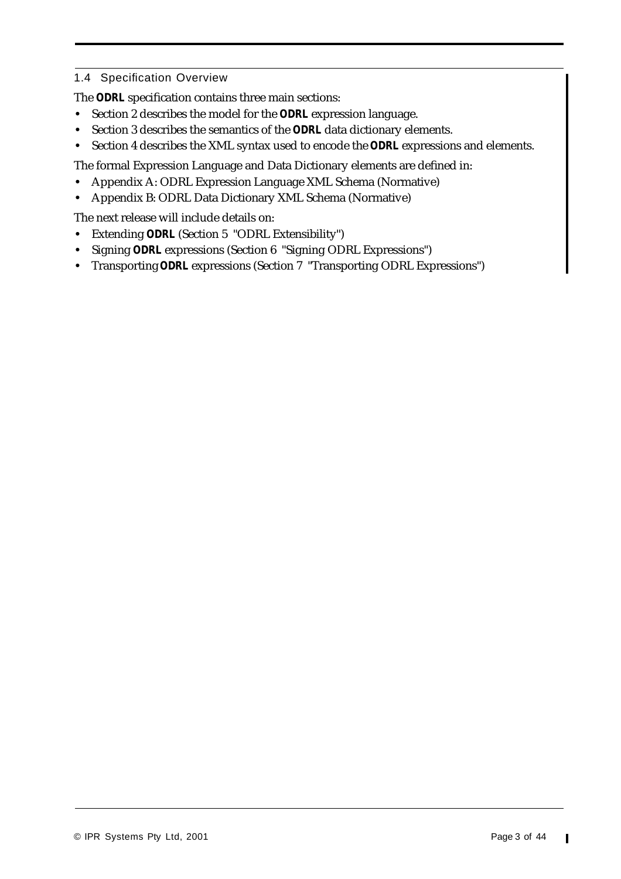#### 1.4 Specification Overview

The *ODRL* specification contains three main sections:

- **•** Section 2 describes the model for the *ODRL* expression language.
- **•** Section 3 describes the semantics of the *ODRL* data dictionary elements.
- **•** Section 4 describes the XML syntax used to encode the *ODRL* expressions and elements.

The formal Expression Language and Data Dictionary elements are defined in:

- **•** Appendix A: ODRL Expression Language XML Schema (Normative)
- **•** Appendix B: ODRL Data Dictionary XML Schema (Normative)

The next release will include details on:

- **•** Extending *ODRL* (Section 5 "ODRL Extensibility")
- **•** Signing *ODRL* expressions (Section 6 "Signing ODRL Expressions")
- **•** Transporting *ODRL* expressions (Section 7 "Transporting ODRL Expressions")

 $\mathbf I$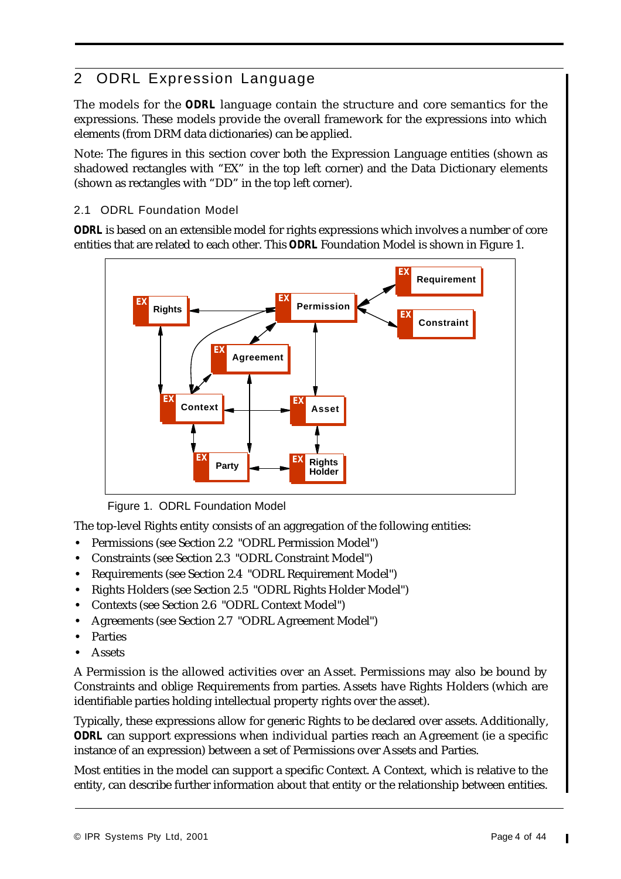# 2 ODRL Expression Language

The models for the *ODRL* language contain the structure and core semantics for the expressions. These models provide the overall framework for the expressions into which elements (from DRM data dictionaries) can be applied.

Note: The figures in this section cover both the Expression Language entities (shown as shadowed rectangles with "EX" in the top left corner) and the Data Dictionary elements (shown as rectangles with "DD" in the top left corner).

# 2.1 ODRL Foundation Model

*ODRL* is based on an extensible model for rights expressions which involves a number of core entities that are related to each other. This *ODRL* Foundation Model is shown in Figure 1.



Figure 1. ODRL Foundation Model

The top-level Rights entity consists of an aggregation of the following entities:

- **•** Permissions (see Section 2.2 "ODRL Permission Model")
- **•** Constraints (see Section 2.3 "ODRL Constraint Model")
- **•** Requirements (see Section 2.4 "ODRL Requirement Model")
- **•** Rights Holders (see Section 2.5 "ODRL Rights Holder Model")
- **•** Contexts (see Section 2.6 "ODRL Context Model")
- **•** Agreements (see Section 2.7 "ODRL Agreement Model")
- **•** Parties
- **•** Assets

A Permission is the allowed activities over an Asset. Permissions may also be bound by Constraints and oblige Requirements from parties. Assets have Rights Holders (which are identifiable parties holding intellectual property rights over the asset).

Typically, these expressions allow for generic Rights to be declared over assets. Additionally, *ODRL* can support expressions when individual parties reach an Agreement (ie a specific instance of an expression) between a set of Permissions over Assets and Parties.

Most entities in the model can support a specific Context. A Context, which is relative to the entity, can describe further information about that entity or the relationship between entities.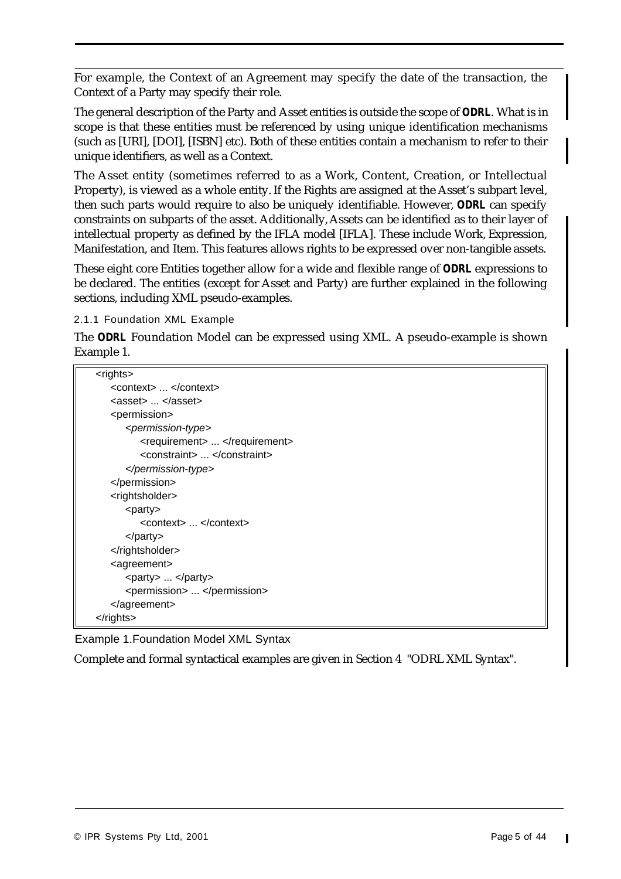For example, the Context of an Agreement may specify the date of the transaction, the Context of a Party may specify their role.

The general description of the Party and Asset entities is outside the scope of *ODRL*. What is in scope is that these entities must be referenced by using unique identification mechanisms (such as [URI], [DOI], [ISBN] etc). Both of these entities contain a mechanism to refer to their unique identifiers, as well as a Context.

The Asset entity (sometimes referred to as a Work, Content, Creation, or Intellectual Property), is viewed as a whole entity. If the Rights are assigned at the Asset's subpart level, then such parts would require to also be uniquely identifiable. However, *ODRL* can specify constraints on subparts of the asset. Additionally, Assets can be identified as to their layer of intellectual property as defined by the IFLA model [IFLA]. These include Work, Expression, Manifestation, and Item. This features allows rights to be expressed over non-tangible assets.

These eight core Entities together allow for a wide and flexible range of *ODRL* expressions to be declared. The entities (except for Asset and Party) are further explained in the following sections, including XML pseudo-examples.

2.1.1 Foundation XML Example

The *ODRL* Foundation Model can be expressed using XML. A pseudo-example is shown Example 1.

| <rights></rights>                   |
|-------------------------------------|
| <context> </context>                |
| <asset> </asset>                    |
| <permission></permission>           |
| <permission-type></permission-type> |
| <requirement> </requirement>        |
| <constraint> </constraint>          |
|                                     |
|                                     |
| <rightsholder></rightsholder>       |
| <party></party>                     |
| <context> </context>                |
| $<$ /party>                         |
|                                     |
| <agreement></agreement>             |
| <party> </party>                    |
| <permission> </permission>          |
|                                     |
|                                     |

Example 1.Foundation Model XML Syntax

Complete and formal syntactical examples are given in Section 4 "ODRL XML Syntax".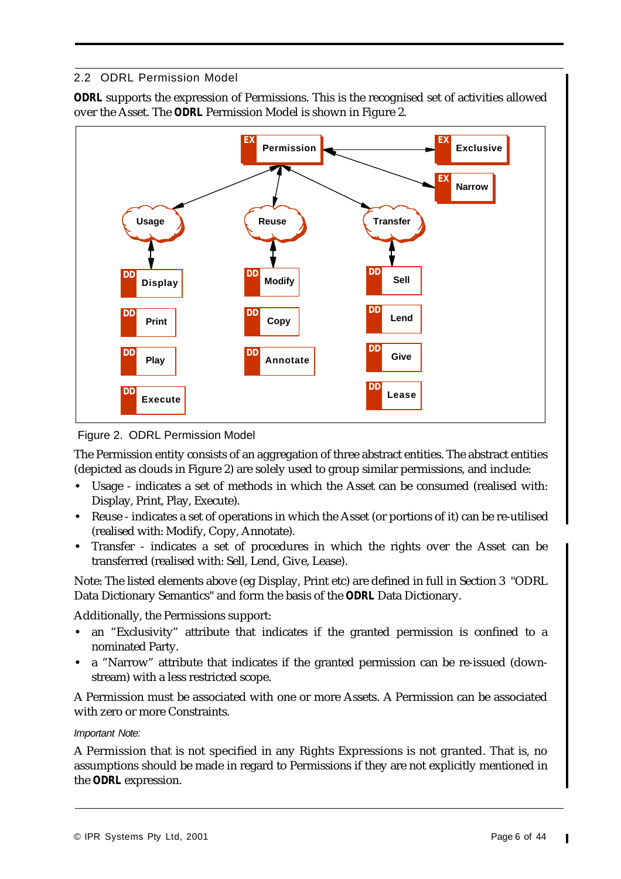# 2.2 ODRL Permission Model

*ODRL* supports the expression of Permissions. This is the recognised set of activities allowed over the Asset. The *ODRL* Permission Model is shown in Figure 2.





The Permission entity consists of an aggregation of three abstract entities. The abstract entities (depicted as clouds in Figure 2) are solely used to group similar permissions, and include:

- **•** Usage indicates a set of methods in which the Asset can be consumed (realised with: Display, Print, Play, Execute).
- Reuse indicates a set of operations in which the Asset (or portions of it) can be re-utilised (realised with: Modify, Copy, Annotate).
- **•** Transfer indicates a set of procedures in which the rights over the Asset can be transferred (realised with: Sell, Lend, Give, Lease).

Note: The listed elements above (eg Display, Print etc) are defined in full in Section 3 "ODRL Data Dictionary Semantics" and form the basis of the *ODRL* Data Dictionary.

Additionally, the Permissions support:

- **•** an "Exclusivity" attribute that indicates if the granted permission is confined to a nominated Party.
- **•** a "Narrow" attribute that indicates if the granted permission can be re-issued (downstream) with a less restricted scope.

A Permission must be associated with one or more Assets. A Permission can be associated with zero or more Constraints.

#### *Important Note:*

A Permission that is not specified in any Rights Expressions is not granted. That is, no assumptions should be made in regard to Permissions if they are not explicitly mentioned in the *ODRL* expression.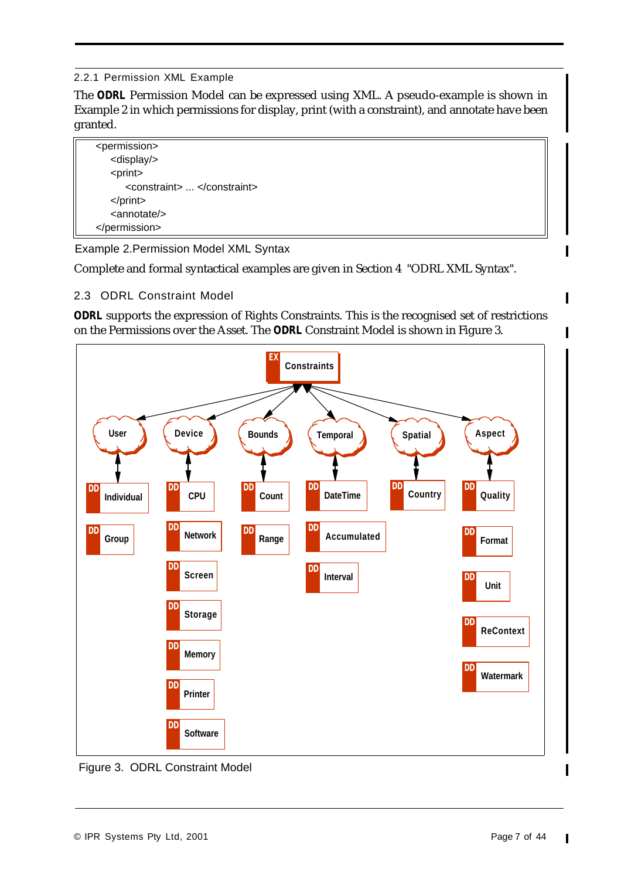2.2.1 Permission XML Example

The *ODRL* Permission Model can be expressed using XML. A pseudo-example is shown in Example 2 in which permissions for display, print (with a constraint), and annotate have been granted.

| <permission></permission>    |  |
|------------------------------|--|
| <display></display>          |  |
| <print></print>              |  |
| <constraint> </constraint>   |  |
| $<$ /print $>$               |  |
| $\langle$ annotate $\rangle$ |  |
|                              |  |

Example 2.Permission Model XML Syntax

Complete and formal syntactical examples are given in Section 4 "ODRL XML Syntax".

# 2.3 ODRL Constraint Model

*ODRL* supports the expression of Rights Constraints. This is the recognised set of restrictions on the Permissions over the Asset. The *ODRL* Constraint Model is shown in Figure 3.



Figure 3. ODRL Constraint Model

 $\mathbf I$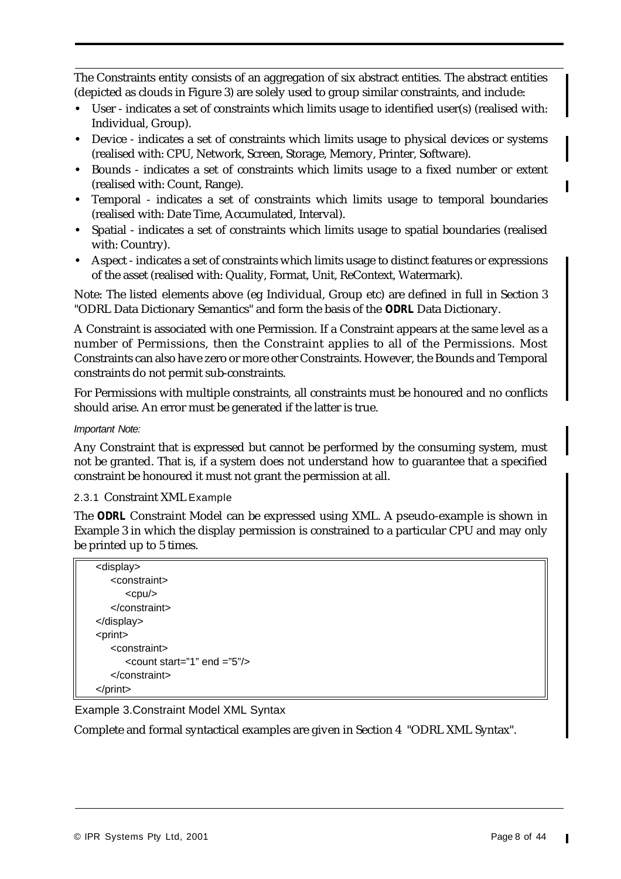The Constraints entity consists of an aggregation of six abstract entities. The abstract entities (depicted as clouds in Figure 3) are solely used to group similar constraints, and include:

- **•** User indicates a set of constraints which limits usage to identified user(s) (realised with: Individual, Group).
- Device indicates a set of constraints which limits usage to physical devices or systems (realised with: CPU, Network, Screen, Storage, Memory, Printer, Software).
- **•** Bounds indicates a set of constraints which limits usage to a fixed number or extent (realised with: Count, Range).
- **•** Temporal indicates a set of constraints which limits usage to temporal boundaries (realised with: Date Time, Accumulated, Interval).
- **•** Spatial indicates a set of constraints which limits usage to spatial boundaries (realised with: Country).
- **•** Aspect indicates a set of constraints which limits usage to distinct features or expressions of the asset (realised with: Quality, Format, Unit, ReContext, Watermark).

Note: The listed elements above (eg Individual, Group etc) are defined in full in Section 3 "ODRL Data Dictionary Semantics" and form the basis of the *ODRL* Data Dictionary.

A Constraint is associated with one Permission. If a Constraint appears at the same level as a number of Permissions, then the Constraint applies to all of the Permissions. Most Constraints can also have zero or more other Constraints. However, the Bounds and Temporal constraints do not permit sub-constraints.

For Permissions with multiple constraints, all constraints must be honoured and no conflicts should arise. An error must be generated if the latter is true.

#### *Important Note:*

Any Constraint that is expressed but cannot be performed by the consuming system, must not be granted. That is, if a system does not understand how to guarantee that a specified constraint be honoured it must not grant the permission at all.

#### 2.3.1 Constraint XML Example

The *ODRL* Constraint Model can be expressed using XML. A pseudo-example is shown in Example 3 in which the display permission is constrained to a particular CPU and may only be printed up to 5 times.

| <display></display>                         |
|---------------------------------------------|
| <constraint></constraint>                   |
| $<$ cpu $/$                                 |
| $<$ /constraint>                            |
|                                             |
| <print></print>                             |
| <constraint></constraint>                   |
| $\alpha$ count start="1" end ="5"/ $\alpha$ |
|                                             |
|                                             |

Example 3.Constraint Model XML Syntax

Complete and formal syntactical examples are given in Section 4 "ODRL XML Syntax".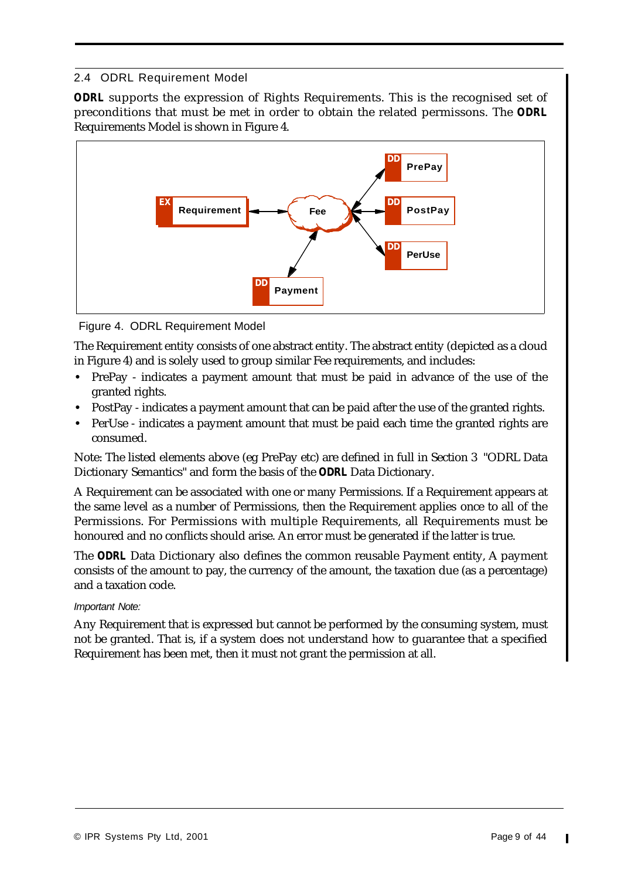## 2.4 ODRL Requirement Model

*ODRL* supports the expression of Rights Requirements. This is the recognised set of preconditions that must be met in order to obtain the related permissons. The *ODRL* Requirements Model is shown in Figure 4.



Figure 4. ODRL Requirement Model

The Requirement entity consists of one abstract entity. The abstract entity (depicted as a cloud in Figure 4) and is solely used to group similar Fee requirements, and includes:

- **•** PrePay indicates a payment amount that must be paid in advance of the use of the granted rights.
- **•** PostPay indicates a payment amount that can be paid after the use of the granted rights.
- **•** PerUse indicates a payment amount that must be paid each time the granted rights are consumed.

Note: The listed elements above (eg PrePay etc) are defined in full in Section 3 "ODRL Data Dictionary Semantics" and form the basis of the *ODRL* Data Dictionary.

A Requirement can be associated with one or many Permissions. If a Requirement appears at the same level as a number of Permissions, then the Requirement applies once to all of the Permissions. For Permissions with multiple Requirements, all Requirements must be honoured and no conflicts should arise. An error must be generated if the latter is true.

The *ODRL* Data Dictionary also defines the common reusable Payment entity, A payment consists of the amount to pay, the currency of the amount, the taxation due (as a percentage) and a taxation code.

## *Important Note:*

Any Requirement that is expressed but cannot be performed by the consuming system, must not be granted. That is, if a system does not understand how to guarantee that a specified Requirement has been met, then it must not grant the permission at all.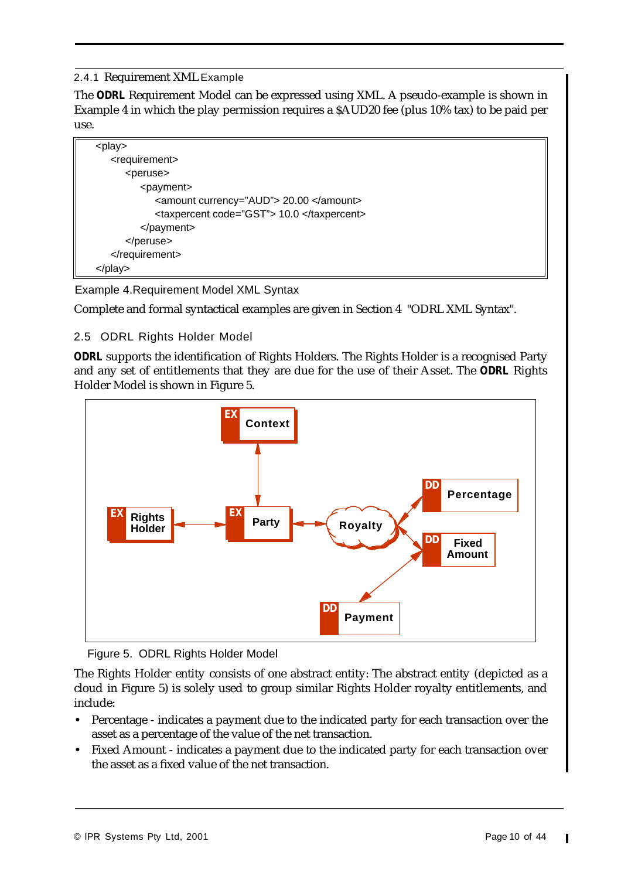#### 2.4.1 Requirement XML Example

The *ODRL* Requirement Model can be expressed using XML. A pseudo-example is shown in Example 4 in which the play permission requires a \$AUD20 fee (plus 10% tax) to be paid per use.



Example 4.Requirement Model XML Syntax

Complete and formal syntactical examples are given in Section 4 "ODRL XML Syntax".

# 2.5 ODRL Rights Holder Model

*ODRL* supports the identification of Rights Holders. The Rights Holder is a recognised Party and any set of entitlements that they are due for the use of their Asset. The *ODRL* Rights Holder Model is shown in Figure 5.



Figure 5. ODRL Rights Holder Model

The Rights Holder entity consists of one abstract entity: The abstract entity (depicted as a cloud in Figure 5) is solely used to group similar Rights Holder royalty entitlements, and include:

- **•** Percentage indicates a payment due to the indicated party for each transaction over the asset as a percentage of the value of the net transaction.
- **•** Fixed Amount indicates a payment due to the indicated party for each transaction over the asset as a fixed value of the net transaction.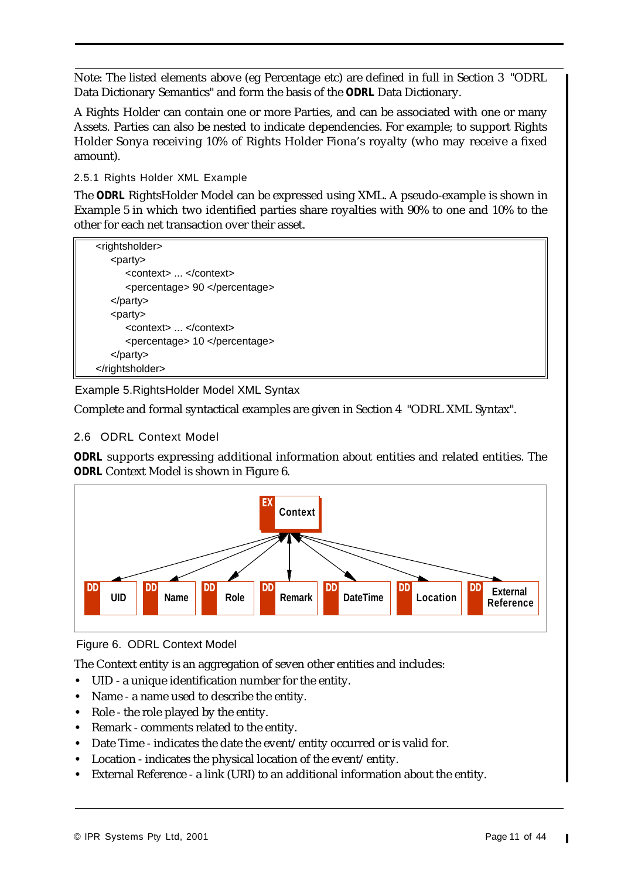Note: The listed elements above (eg Percentage etc) are defined in full in Section 3 "ODRL Data Dictionary Semantics" and form the basis of the *ODRL* Data Dictionary.

A Rights Holder can contain one or more Parties, and can be associated with one or many Assets. Parties can also be nested to indicate dependencies. For example; to support Rights Holder Sonya receiving 10% of Rights Holder Fiona's royalty (who may receive a fixed amount).

2.5.1 Rights Holder XML Example

The *ODRL* RightsHolder Model can be expressed using XML. A pseudo-example is shown in Example 5 in which two identified parties share royalties with 90% to one and 10% to the other for each net transaction over their asset.

| <rightsholder></rightsholder> |
|-------------------------------|
| <party></party>               |
| <context> </context>          |
| <percentage> 90 </percentage> |
|                               |
| <party></party>               |
| <context> </context>          |
| <percentage> 10 </percentage> |
|                               |
|                               |

Example 5.RightsHolder Model XML Syntax

Complete and formal syntactical examples are given in Section 4 "ODRL XML Syntax".

#### 2.6 ODRL Context Model

*ODRL* supports expressing additional information about entities and related entities. The *ODRL* Context Model is shown in Figure 6.



Figure 6. ODRL Context Model

The Context entity is an aggregation of seven other entities and includes:

- **•** UID a unique identification number for the entity.
- **•** Name a name used to describe the entity.
- **•** Role the role played by the entity.
- **•** Remark comments related to the entity.
- **•** Date Time indicates the date the event/entity occurred or is valid for.
- **•** Location indicates the physical location of the event/entity.
- **•** External Reference a link (URI) to an additional information about the entity.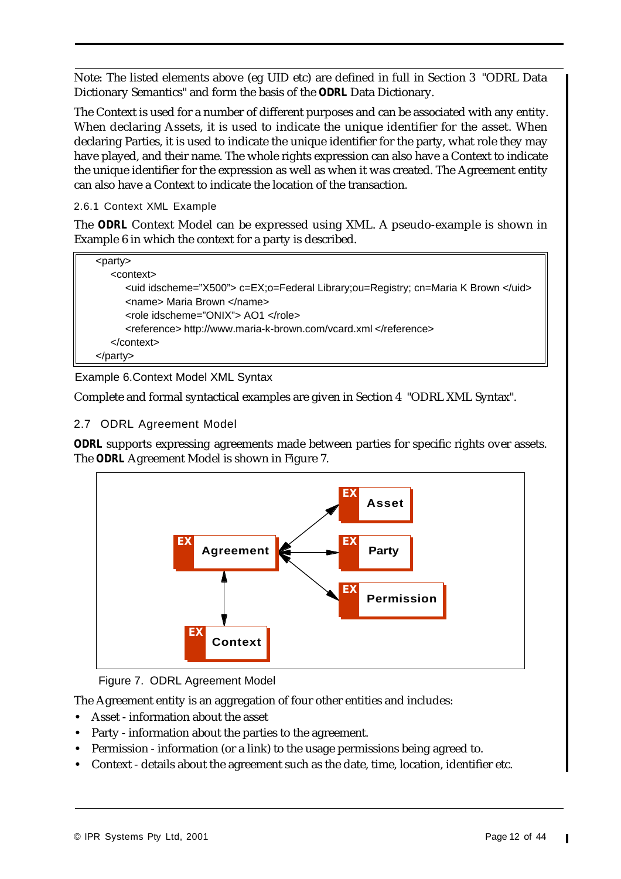Note: The listed elements above (eg UID etc) are defined in full in Section 3 "ODRL Data Dictionary Semantics" and form the basis of the *ODRL* Data Dictionary.

The Context is used for a number of different purposes and can be associated with any entity. When declaring Assets, it is used to indicate the unique identifier for the asset. When declaring Parties, it is used to indicate the unique identifier for the party, what role they may have played, and their name. The whole rights expression can also have a Context to indicate the unique identifier for the expression as well as when it was created. The Agreement entity can also have a Context to indicate the location of the transaction.

2.6.1 Context XML Example

The *ODRL* Context Model can be expressed using XML. A pseudo-example is shown in Example 6 in which the context for a party is described.

| $\langle$ party $\rangle$                                                         |
|-----------------------------------------------------------------------------------|
| <context></context>                                                               |
| <uid idscheme="X500"> c=EX;o=Federal Library;ou=Registry; cn=Maria K Brown </uid> |
| <name> Maria Brown </name>                                                        |
| <role idscheme="ONIX"> AO1 </role>                                                |
| <reference> http://www.maria-k-brown.com/vcard.xml </reference>                   |
| $\alpha$ context                                                                  |
|                                                                                   |

Example 6.Context Model XML Syntax

Complete and formal syntactical examples are given in Section 4 "ODRL XML Syntax".

## 2.7 ODRL Agreement Model

*ODRL* supports expressing agreements made between parties for specific rights over assets. The *ODRL* Agreement Model is shown in Figure 7.



Figure 7. ODRL Agreement Model

The Agreement entity is an aggregation of four other entities and includes:

- **•** Asset information about the asset
- **•** Party information about the parties to the agreement.
- **•** Permission information (or a link) to the usage permissions being agreed to.
- **•** Context details about the agreement such as the date, time, location, identifier etc.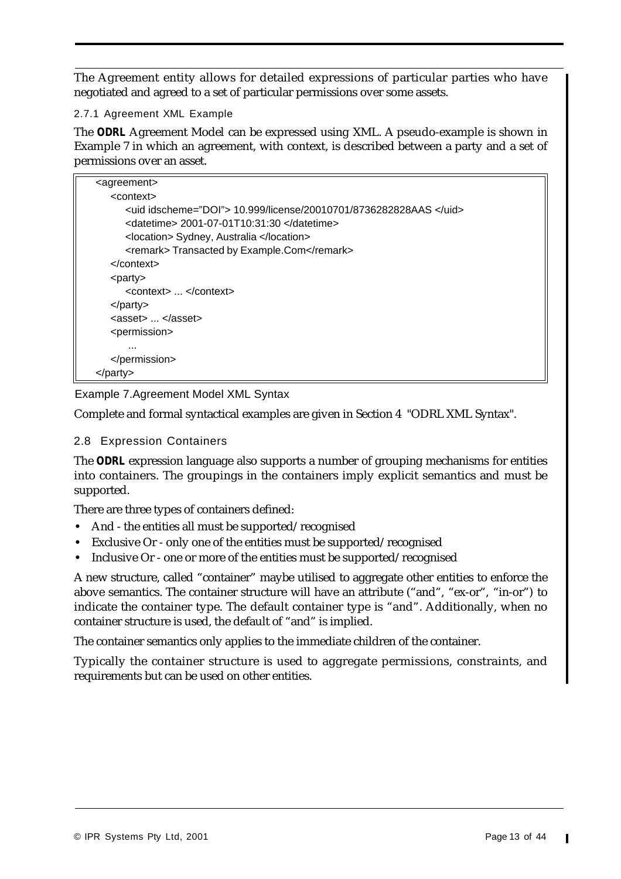The Agreement entity allows for detailed expressions of particular parties who have negotiated and agreed to a set of particular permissions over some assets.

2.7.1 Agreement XML Example

The *ODRL* Agreement Model can be expressed using XML. A pseudo-example is shown in Example 7 in which an agreement, with context, is described between a party and a set of permissions over an asset.

| <agreement></agreement>                                           |  |
|-------------------------------------------------------------------|--|
| <context></context>                                               |  |
| <uid idscheme="DOI"> 10.999/license/20010701/8736282828AAS </uid> |  |
| <datetime> 2001-07-01T10:31:30 </datetime>                        |  |
| <location> Sydney, Australia </location>                          |  |
| <remark>Transacted by Example.Com</remark>                        |  |
| $<$ /context $>$                                                  |  |
| $\epsilon$ party $>$                                              |  |
| <context> </context>                                              |  |
| $<$ /party>                                                       |  |
| <asset> </asset>                                                  |  |
| <permission></permission>                                         |  |
|                                                                   |  |
|                                                                   |  |
|                                                                   |  |

Example 7.Agreement Model XML Syntax

Complete and formal syntactical examples are given in Section 4 "ODRL XML Syntax".

#### 2.8 Expression Containers

The *ODRL* expression language also supports a number of grouping mechanisms for entities into containers. The groupings in the containers imply explicit semantics and must be supported.

There are three types of containers defined:

- **•** And the entities all must be supported/recognised
- **•** Exclusive Or only one of the entities must be supported/recognised
- Inclusive Or one or more of the entities must be supported/recognised

A new structure, called "container" maybe utilised to aggregate other entities to enforce the above semantics. The container structure will have an attribute ("and", "ex-or", "in-or") to indicate the container type. The default container type is "and". Additionally, when no container structure is used, the default of "and" is implied.

The container semantics only applies to the immediate children of the container.

Typically the container structure is used to aggregate permissions, constraints, and requirements but can be used on other entities.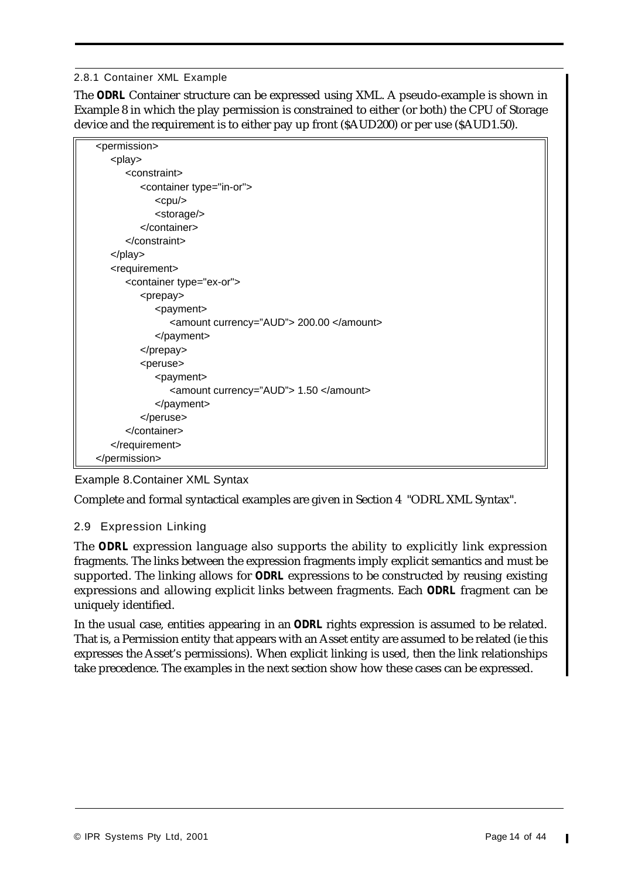#### 2.8.1 Container XML Example

The *ODRL* Container structure can be expressed using XML. A pseudo-example is shown in Example 8 in which the play permission is constrained to either (or both) the CPU of Storage device and the requirement is to either pay up front (\$AUD200) or per use (\$AUD1.50).

| <permission></permission>                |
|------------------------------------------|
| <play></play>                            |
| <constraint></constraint>                |
| <container type="in-or"></container>     |
| <cpu></cpu>                              |
| <storage></storage>                      |
|                                          |
|                                          |
|                                          |
| <requirement></requirement>              |
| <container type="ex-or"></container>     |
| <prepay></prepay>                        |
| <payment></payment>                      |
| <amount currency="AUD"> 200.00 </amount> |
|                                          |
|                                          |
| <peruse></peruse>                        |
| <payment></payment>                      |
| <amount currency="AUD"> 1.50 </amount>   |
|                                          |
|                                          |
|                                          |
|                                          |
|                                          |

Example 8.Container XML Syntax

Complete and formal syntactical examples are given in Section 4 "ODRL XML Syntax".

## 2.9 Expression Linking

The *ODRL* expression language also supports the ability to explicitly link expression fragments. The links between the expression fragments imply explicit semantics and must be supported. The linking allows for *ODRL* expressions to be constructed by reusing existing expressions and allowing explicit links between fragments. Each *ODRL* fragment can be uniquely identified.

In the usual case, entities appearing in an *ODRL* rights expression is assumed to be related. That is, a Permission entity that appears with an Asset entity are assumed to be related (ie this expresses the Asset's permissions). When explicit linking is used, then the link relationships take precedence. The examples in the next section show how these cases can be expressed.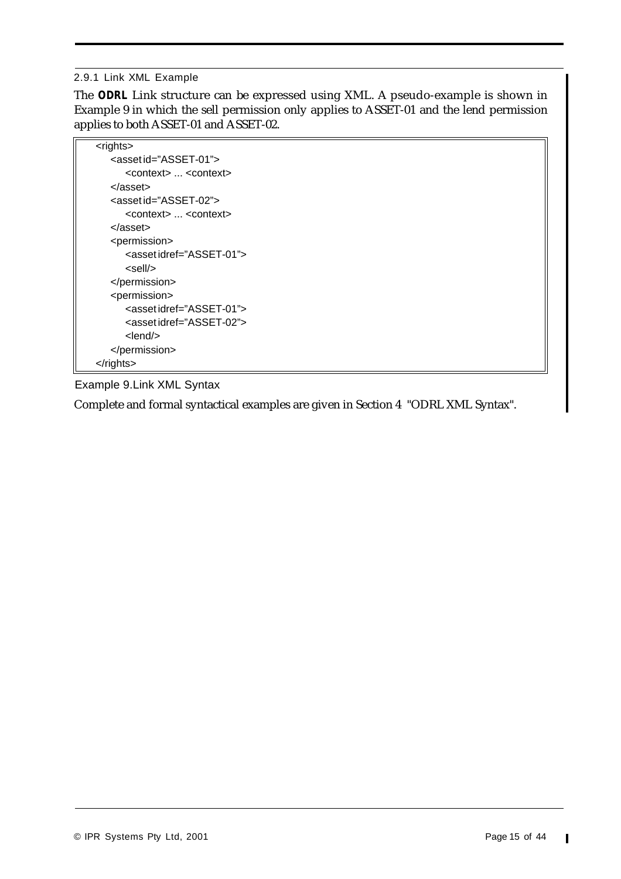#### 2.9.1 Link XML Example

The *ODRL* Link structure can be expressed using XML. A pseudo-example is shown in Example 9 in which the sell permission only applies to ASSET-01 and the lend permission applies to both ASSET-01 and ASSET-02.

| <rights></rights>                       |
|-----------------------------------------|
| <asset id="ASSET-01"></asset>           |
| <context> <context></context></context> |
|                                         |
| <asset id="ASSET-02"></asset>           |
| <context> <context></context></context> |
|                                         |
| <permission></permission>               |
| <asset idref="ASSET-01"></asset>        |
| <sell></sell>                           |
|                                         |
| <permission></permission>               |
| <asset idref="ASSET-01"></asset>        |
| <asset idref="ASSET-02"></asset>        |
| <lend></lend>                           |
|                                         |
|                                         |

Example 9.Link XML Syntax

Complete and formal syntactical examples are given in Section 4 "ODRL XML Syntax".

 $\mathbf I$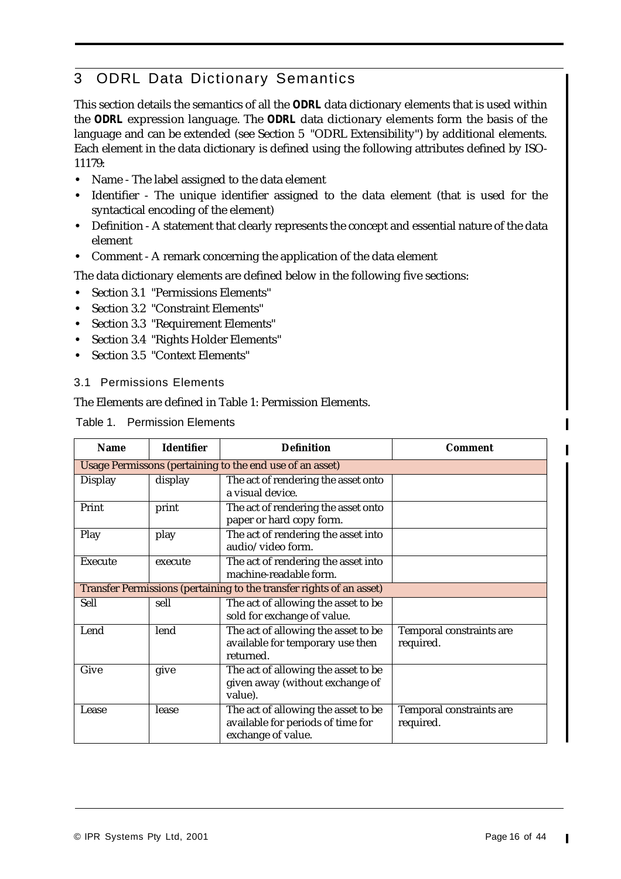# 3 ODRL Data Dictionary Semantics

This section details the semantics of all the *ODRL* data dictionary elements that is used within the *ODRL* expression language. The *ODRL* data dictionary elements form the basis of the language and can be extended (see Section 5 "ODRL Extensibility") by additional elements. Each element in the data dictionary is defined using the following attributes defined by ISO-11179:

- **•** Name The label assigned to the data element
- **•** Identifier The unique identifier assigned to the data element (that is used for the syntactical encoding of the element)
- **•** Definition A statement that clearly represents the concept and essential nature of the data element
- **•** Comment A remark concerning the application of the data element

The data dictionary elements are defined below in the following five sections:

- **•** Section 3.1 "Permissions Elements"
- **•** Section 3.2 "Constraint Elements"
- **•** Section 3.3 "Requirement Elements"
- **•** Section 3.4 "Rights Holder Elements"
- **•** Section 3.5 "Context Elements"

#### 3.1 Permissions Elements

The Elements are defined in Table 1: Permission Elements.

Table 1. Permission Elements

| <b>Name</b>    | <b>Identifier</b>                                        | <b>Definition</b>                                                                              | <b>Comment</b>                               |  |  |
|----------------|----------------------------------------------------------|------------------------------------------------------------------------------------------------|----------------------------------------------|--|--|
|                | Usage Permissons (pertaining to the end use of an asset) |                                                                                                |                                              |  |  |
| <b>Display</b> | display                                                  | The act of rendering the asset onto<br>a visual device.                                        |                                              |  |  |
| Print          | print                                                    | The act of rendering the asset onto<br>paper or hard copy form.                                |                                              |  |  |
| Play           | play                                                     | The act of rendering the asset into<br>audio/video form.                                       |                                              |  |  |
| <b>Execute</b> | execute                                                  | The act of rendering the asset into<br>machine-readable form.                                  |                                              |  |  |
|                |                                                          | Transfer Permissions (pertaining to the transfer rights of an asset)                           |                                              |  |  |
| Sell           | sell                                                     | The act of allowing the asset to be<br>sold for exchange of value.                             |                                              |  |  |
| Lend           | lend                                                     | The act of allowing the asset to be<br>available for temporary use then<br>returned.           | <b>Temporal constraints are</b><br>required. |  |  |
| Give           | give                                                     | The act of allowing the asset to be<br>given away (without exchange of<br>value).              |                                              |  |  |
| Lease          | lease                                                    | The act of allowing the asset to be<br>available for periods of time for<br>exchange of value. | <b>Temporal constraints are</b><br>required. |  |  |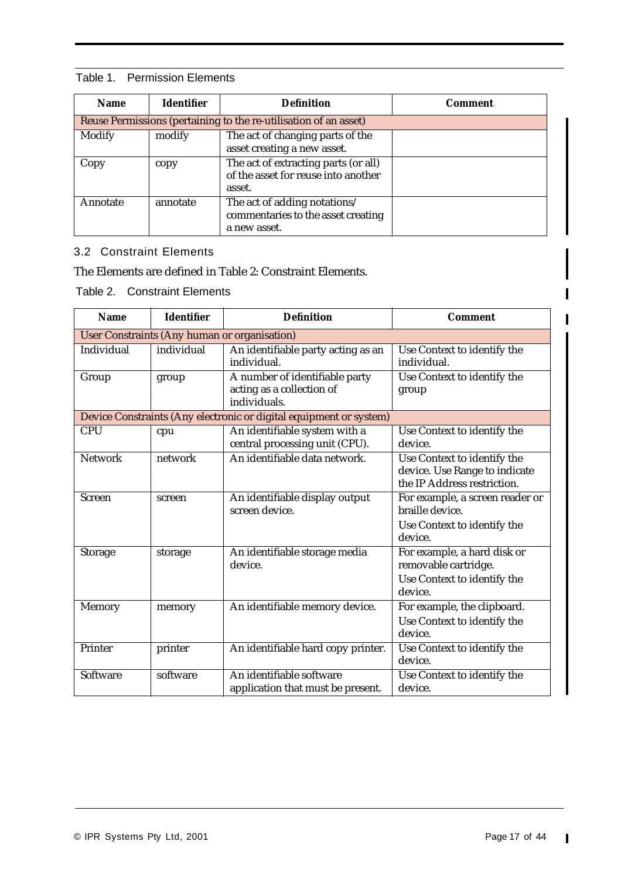## Table 1. Permission Elements

| <b>Name</b>                                                      | <b>Identifier</b> | <b>Definition</b>                                                                     | Comment |  |  |
|------------------------------------------------------------------|-------------------|---------------------------------------------------------------------------------------|---------|--|--|
| Reuse Permissions (pertaining to the re-utilisation of an asset) |                   |                                                                                       |         |  |  |
| Modify                                                           | modify            | The act of changing parts of the<br>asset creating a new asset.                       |         |  |  |
| Copy                                                             | copy              | The act of extracting parts (or all)<br>of the asset for reuse into another<br>asset. |         |  |  |
| Annotate                                                         | annotate          | The act of adding notations/<br>commentaries to the asset creating<br>a new asset.    |         |  |  |

# 3.2 Constraint Elements

## The Elements are defined in Table 2: Constraint Elements.

## Table 2. Constraint Elements

| <b>Name</b>                                         | <b>Identifier</b> | <b>Definition</b>                                                           | <b>Comment</b>                                                                              |  |  |
|-----------------------------------------------------|-------------------|-----------------------------------------------------------------------------|---------------------------------------------------------------------------------------------|--|--|
| <b>User Constraints (Any human or organisation)</b> |                   |                                                                             |                                                                                             |  |  |
| Individual                                          | individual        | An identifiable party acting as an<br>individual.                           | Use Context to identify the<br>individual.                                                  |  |  |
| Group                                               | group             | A number of identifiable party<br>acting as a collection of<br>individuals. | Use Context to identify the<br>group                                                        |  |  |
|                                                     |                   | Device Constraints (Any electronic or digital equipment or system)          |                                                                                             |  |  |
| <b>CPU</b>                                          | cpu               | An identifiable system with a<br>central processing unit (CPU).             | Use Context to identify the<br>device.                                                      |  |  |
| <b>Network</b>                                      | network           | An identifiable data network.                                               | Use Context to identify the<br>device. Use Range to indicate<br>the IP Address restriction. |  |  |
| <b>Screen</b>                                       | screen            | An identifiable display output<br>screen device.                            | For example, a screen reader or<br>braille device.                                          |  |  |
|                                                     |                   |                                                                             | Use Context to identify the<br>device.                                                      |  |  |
| <b>Storage</b>                                      | storage           | An identifiable storage media<br>device.                                    | For example, a hard disk or<br>removable cartridge.                                         |  |  |
|                                                     |                   |                                                                             | Use Context to identify the<br>device.                                                      |  |  |
| <b>Memory</b>                                       | memory            | An identifiable memory device.                                              | For example, the clipboard.                                                                 |  |  |
|                                                     |                   |                                                                             | Use Context to identify the<br>device.                                                      |  |  |
| Printer                                             | printer           | An identifiable hard copy printer.                                          | Use Context to identify the<br>device.                                                      |  |  |
| Software                                            | software          | An identifiable software<br>application that must be present.               | Use Context to identify the<br>device.                                                      |  |  |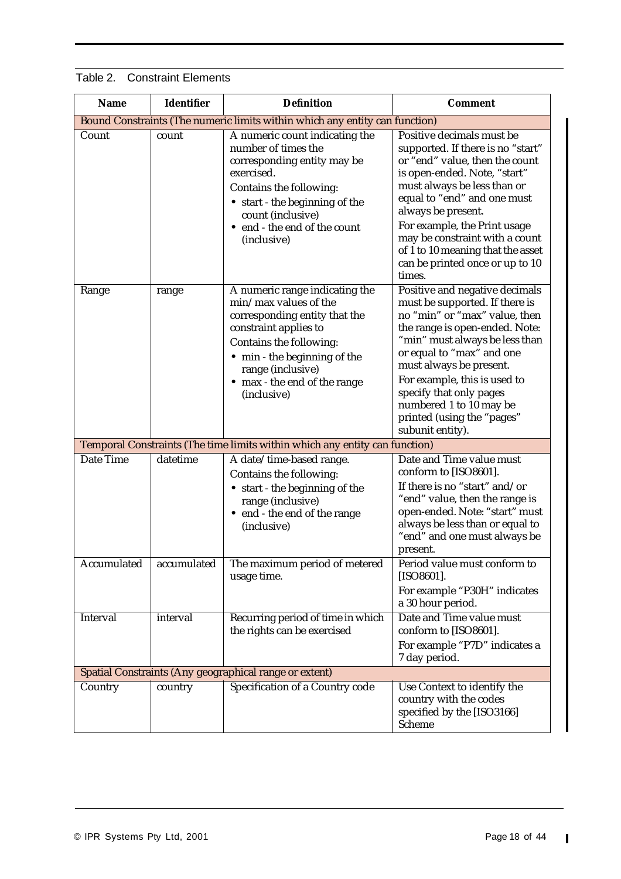| Table 2. | <b>Constraint Elements</b> |  |
|----------|----------------------------|--|
|          |                            |  |

| <b>Name</b>                                                                 | <b>Identifier</b> | <b>Definition</b>                                                                                                                                                                                                                                | <b>Comment</b>                                                                                                                                                                                                                                                                                                                                                           |
|-----------------------------------------------------------------------------|-------------------|--------------------------------------------------------------------------------------------------------------------------------------------------------------------------------------------------------------------------------------------------|--------------------------------------------------------------------------------------------------------------------------------------------------------------------------------------------------------------------------------------------------------------------------------------------------------------------------------------------------------------------------|
| Bound Constraints (The numeric limits within which any entity can function) |                   |                                                                                                                                                                                                                                                  |                                                                                                                                                                                                                                                                                                                                                                          |
| Count                                                                       | count             | A numeric count indicating the<br>number of times the<br>corresponding entity may be<br>exercised.<br>Contains the following:<br>• start - the beginning of the<br>count (inclusive)<br>• end - the end of the count<br>(inclusive)              | Positive decimals must be<br>supported. If there is no "start"<br>or "end" value, then the count<br>is open-ended. Note, "start"<br>must always be less than or<br>equal to "end" and one must<br>always be present.<br>For example, the Print usage<br>may be constraint with a count<br>of 1 to 10 meaning that the asset<br>can be printed once or up to 10<br>times. |
| Range                                                                       | range             | A numeric range indicating the<br>min/max values of the<br>corresponding entity that the<br>constraint applies to<br>Contains the following:<br>• min - the beginning of the<br>range (inclusive)<br>• max - the end of the range<br>(inclusive) | Positive and negative decimals<br>must be supported. If there is<br>no "min" or "max" value, then<br>the range is open-ended. Note:<br>"min" must always be less than<br>or equal to "max" and one<br>must always be present.<br>For example, this is used to<br>specify that only pages<br>numbered 1 to 10 may be<br>printed (using the "pages"<br>subunit entity).    |
|                                                                             |                   | Temporal Constraints (The time limits within which any entity can function)                                                                                                                                                                      |                                                                                                                                                                                                                                                                                                                                                                          |
| Date Time                                                                   | datetime          | A date/time-based range.<br>Contains the following:<br>• start - the beginning of the<br>range (inclusive)<br>• end - the end of the range<br>(inclusive)                                                                                        | Date and Time value must<br>conform to [ISO8601].<br>If there is no "start" and/or<br>"end" value, then the range is<br>open-ended. Note: "start" must<br>always be less than or equal to<br>"end" and one must always be<br>present.                                                                                                                                    |
| Accumulated                                                                 | accumulated       | The maximum period of metered<br>usage time.                                                                                                                                                                                                     | Period value must conform to<br>$[ISO8601]$ .<br>For example "P30H" indicates<br>a 30 hour period.                                                                                                                                                                                                                                                                       |
| Interval                                                                    | interval          | Recurring period of time in which<br>the rights can be exercised                                                                                                                                                                                 | Date and Time value must<br>conform to [ISO8601].<br>For example "P7D" indicates a<br>7 day period.                                                                                                                                                                                                                                                                      |
|                                                                             |                   | Spatial Constraints (Any geographical range or extent)                                                                                                                                                                                           |                                                                                                                                                                                                                                                                                                                                                                          |
| Country                                                                     | country           | Specification of a Country code                                                                                                                                                                                                                  | Use Context to identify the<br>country with the codes<br>specified by the [ISO3166]<br><b>Scheme</b>                                                                                                                                                                                                                                                                     |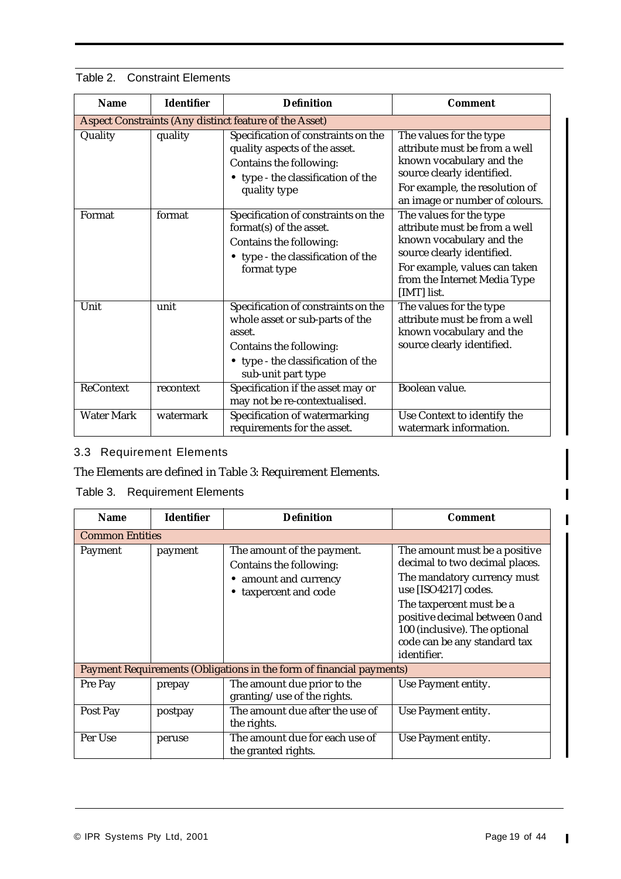| <b>Name</b>       | <b>Identifier</b> | <b>Definition</b>                                                                                                                                                       | <b>Comment</b>                                                                                                                                                                                     |
|-------------------|-------------------|-------------------------------------------------------------------------------------------------------------------------------------------------------------------------|----------------------------------------------------------------------------------------------------------------------------------------------------------------------------------------------------|
|                   |                   | <b>Aspect Constraints (Any distinct feature of the Asset)</b>                                                                                                           |                                                                                                                                                                                                    |
| Quality           | quality           | Specification of constraints on the<br>quality aspects of the asset.<br>Contains the following:<br>• type - the classification of the<br>quality type                   | The values for the type<br>attribute must be from a well<br>known vocabulary and the<br>source clearly identified.<br>For example, the resolution of<br>an image or number of colours.             |
| Format            | format            | Specification of constraints on the<br>format(s) of the asset.<br>Contains the following:<br>• type - the classification of the<br>format type                          | The values for the type<br>attribute must be from a well<br>known vocabulary and the<br>source clearly identified.<br>For example, values can taken<br>from the Internet Media Type<br>[IMT] list. |
| Unit              | unit              | Specification of constraints on the<br>whole asset or sub-parts of the<br>asset.<br>Contains the following:<br>• type - the classification of the<br>sub-unit part type | The values for the type<br>attribute must be from a well<br>known vocabulary and the<br>source clearly identified.                                                                                 |
| <b>ReContext</b>  | recontext         | Specification if the asset may or<br>may not be re-contextualised.                                                                                                      | Boolean value.                                                                                                                                                                                     |
| <b>Water Mark</b> | watermark         | Specification of watermarking<br>requirements for the asset.                                                                                                            | Use Context to identify the<br>watermark information.                                                                                                                                              |

#### Table 2. Constraint Elements

# 3.3 Requirement Elements

The Elements are defined in Table 3: Requirement Elements.

Table 3. Requirement Elements

| <b>Name</b>            | <b>Identifier</b> | <b>Definition</b>                                                                                              | <b>Comment</b>                                                                                                                                                                                                                                                       |
|------------------------|-------------------|----------------------------------------------------------------------------------------------------------------|----------------------------------------------------------------------------------------------------------------------------------------------------------------------------------------------------------------------------------------------------------------------|
| <b>Common Entities</b> |                   |                                                                                                                |                                                                                                                                                                                                                                                                      |
| Payment                | payment           | The amount of the payment.<br><b>Contains the following:</b><br>• amount and currency<br>• taxpercent and code | The amount must be a positive<br>decimal to two decimal places.<br>The mandatory currency must<br>use [ISO4217] codes.<br>The taxpercent must be a<br>positive decimal between 0 and<br>100 (inclusive). The optional<br>code can be any standard tax<br>identifier. |
|                        |                   | Payment Requirements (Obligations in the form of financial payments)                                           |                                                                                                                                                                                                                                                                      |
| Pre Pay                | prepay            | The amount due prior to the<br>granting/use of the rights.                                                     | Use Payment entity.                                                                                                                                                                                                                                                  |
| Post Pay               | postpay           | The amount due after the use of<br>the rights.                                                                 | Use Payment entity.                                                                                                                                                                                                                                                  |
| Per Use                | peruse            | The amount due for each use of<br>the granted rights.                                                          | Use Payment entity.                                                                                                                                                                                                                                                  |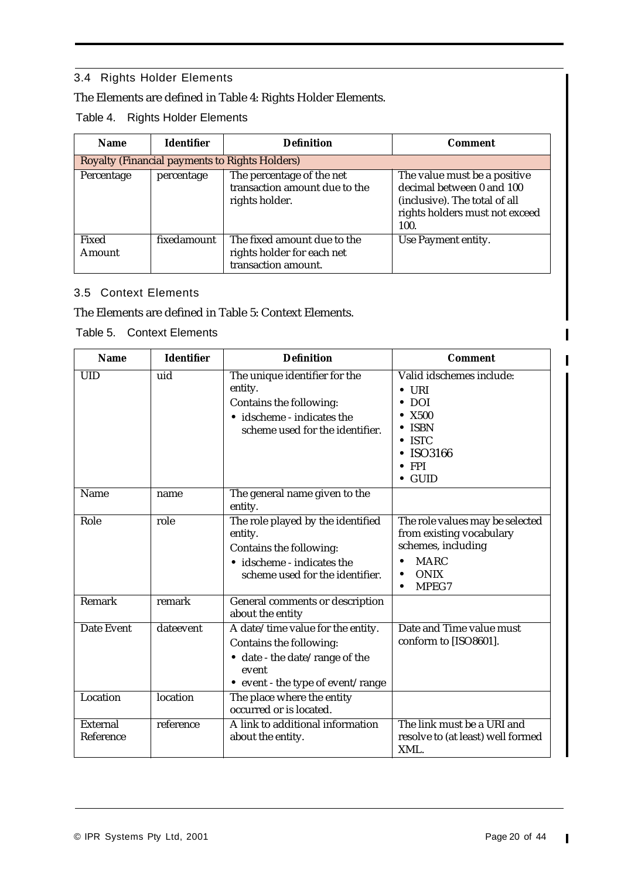# 3.4 Rights Holder Elements

## The Elements are defined in Table 4: Rights Holder Elements.

# Table 4. Rights Holder Elements

| <b>Name</b>     | <b>Identifier</b> | <b>Definition</b>                                                                | <b>Comment</b>                                                                                                                       |
|-----------------|-------------------|----------------------------------------------------------------------------------|--------------------------------------------------------------------------------------------------------------------------------------|
|                 |                   | <b>Royalty (Financial payments to Rights Holders)</b>                            |                                                                                                                                      |
| Percentage      | percentage        | The percentage of the net<br>transaction amount due to the<br>rights holder.     | The value must be a positive<br>decimal between 0 and 100<br>(inclusive). The total of all<br>rights holders must not exceed<br>100. |
| Fixed<br>Amount | fixedamount       | The fixed amount due to the<br>rights holder for each net<br>transaction amount. | Use Payment entity.                                                                                                                  |

#### 3.5 Context Elements

The Elements are defined in Table 5: Context Elements.

Table 5. Context Elements

| <b>Name</b>                  | <b>Identifier</b> | <b>Definition</b>                                                                                                                            | <b>Comment</b>                                                                                                                                                           |
|------------------------------|-------------------|----------------------------------------------------------------------------------------------------------------------------------------------|--------------------------------------------------------------------------------------------------------------------------------------------------------------------------|
| <b>UID</b>                   | uid               | The unique identifier for the<br>entity.<br>Contains the following:<br>• idscheme - indicates the<br>scheme used for the identifier.         | Valid idschemes include:<br>$\bullet$ URI<br>$\bullet$ DOI<br>$\bullet$ X500<br>$\bullet$ ISBN<br>$\bullet$ ISTC<br>$\bullet$ ISO3166<br>$\bullet$ FPI<br>$\bullet$ GUID |
| Name                         | name              | The general name given to the<br>entity.                                                                                                     |                                                                                                                                                                          |
| Role                         | role              | The role played by the identified<br>entity.<br>Contains the following:<br>• idscheme - indicates the<br>scheme used for the identifier.     | The role values may be selected<br>from existing vocabulary<br>schemes, including<br><b>MARC</b><br>$\bullet$<br><b>ONIX</b><br>MPEG7<br>٠                               |
| Remark                       | remark            | General comments or description<br>about the entity                                                                                          |                                                                                                                                                                          |
| <b>Date Event</b>            | dateevent         | A date/time value for the entity.<br>Contains the following:<br>• date - the date/range of the<br>event<br>• event - the type of event/range | Date and Time value must<br>conform to [ISO8601].                                                                                                                        |
| Location                     | location          | The place where the entity<br>occurred or is located.                                                                                        |                                                                                                                                                                          |
| <b>External</b><br>Reference | reference         | A link to additional information<br>about the entity.                                                                                        | The link must be a URI and<br>resolve to (at least) well formed<br>XML.                                                                                                  |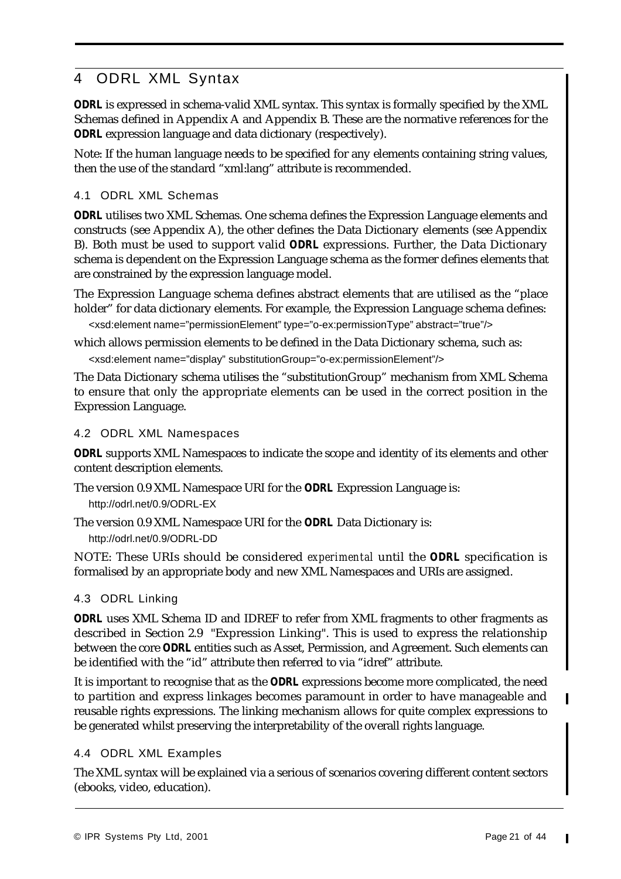# 4 ODRL XML Syntax

*ODRL* is expressed in schema-valid XML syntax. This syntax is formally specified by the XML Schemas defined in Appendix A and Appendix B. These are the normative references for the *ODRL* expression language and data dictionary (respectively).

Note: If the human language needs to be specified for any elements containing string values, then the use of the standard "xml:lang" attribute is recommended.

# 4.1 ODRL XML Schemas

*ODRL* utilises two XML Schemas. One schema defines the Expression Language elements and constructs (see Appendix A), the other defines the Data Dictionary elements (see Appendix B). Both must be used to support valid *ODRL* expressions. Further, the Data Dictionary schema is dependent on the Expression Language schema as the former defines elements that are constrained by the expression language model.

The Expression Language schema defines abstract elements that are utilised as the "place holder" for data dictionary elements. For example, the Expression Language schema defines: <xsd:element name="permissionElement" type="o-ex:permissionType" abstract="true"/>

which allows permission elements to be defined in the Data Dictionary schema, such as: <xsd:element name="display" substitutionGroup="o-ex:permissionElement"/>

The Data Dictionary schema utilises the "substitutionGroup" mechanism from XML Schema to ensure that only the appropriate elements can be used in the correct position in the Expression Language.

#### 4.2 ODRL XML Namespaces

*ODRL* supports XML Namespaces to indicate the scope and identity of its elements and other content description elements.

The version 0.9 XML Namespace URI for the *ODRL* Expression Language is: <http://odrl.net/0.9/ODRL-EX>

The version 0.9 XML Namespace URI for the *ODRL* Data Dictionary is: <http://odrl.net/0.9/ODRL-DD>

NOTE: These URIs should be considered *experimental* until the *ODRL* specification is formalised by an appropriate body and new XML Namespaces and URIs are assigned.

## 4.3 ODRL Linking

*ODRL* uses XML Schema ID and IDREF to refer from XML fragments to other fragments as described in Section 2.9 "Expression Linking". This is used to express the relationship between the core *ODRL* entities such as Asset, Permission, and Agreement. Such elements can be identified with the "id" attribute then referred to via "idref" attribute.

It is important to recognise that as the *ODRL* expressions become more complicated, the need to partition and express linkages becomes paramount in order to have manageable and reusable rights expressions. The linking mechanism allows for quite complex expressions to be generated whilst preserving the interpretability of the overall rights language.

#### 4.4 ODRL XML Examples

The XML syntax will be explained via a serious of scenarios covering different content sectors (ebooks, video, education).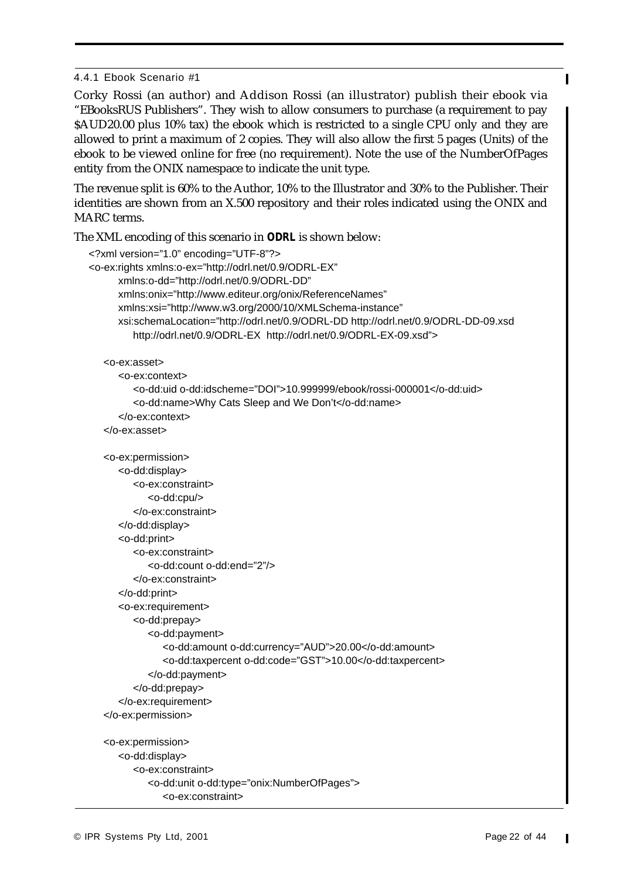#### 4.4.1 Ebook Scenario #1

Corky Rossi (an author) and Addison Rossi (an illustrator) publish their ebook via "EBooksRUS Publishers". They wish to allow consumers to purchase (a requirement to pay \$AUD20.00 plus 10% tax) the ebook which is restricted to a single CPU only and they are allowed to print a maximum of 2 copies. They will also allow the first 5 pages (Units) of the ebook to be viewed online for free (no requirement). Note the use of the NumberOfPages entity from the ONIX namespace to indicate the unit type.

The revenue split is 60% to the Author, 10% to the Illustrator and 30% to the Publisher. Their identities are shown from an X.500 repository and their roles indicated using the ONIX and MARC terms.

The XML encoding of this scenario in *ODRL* is shown below:

```
<?xml version="1.0" encoding="UTF-8"?>
<o-ex:rights xmlns:o-ex="http://odrl.net/0.9/ODRL-EX"
      xmlns:o-dd="http://odrl.net/0.9/ODRL-DD"
      xmlns:onix="http://www.editeur.org/onix/ReferenceNames"
      xmlns:xsi="http://www.w3.org/2000/10/XMLSchema-instance"
      xsi:schemaLocation="http://odrl.net/0.9/ODRL-DD http://odrl.net/0.9/ODRL-DD-09.xsd
         http://odrl.net/0.9/ODRL-EX http://odrl.net/0.9/ODRL-EX-09.xsd">
   <o-ex:asset>
      <o-ex:context>
         <o-dd:uid o-dd:idscheme="DOI">10.999999/ebook/rossi-000001</o-dd:uid>
         <o-dd:name>Why Cats Sleep and We Don't</o-dd:name>
      </o-ex:context>
   </o-ex:asset>
   <o-ex:permission>
      <o-dd:display>
         <o-ex:constraint>
            <o-dd:cpu/>
         </o-ex:constraint>
      </o-dd:display>
      <o-dd:print>
         <o-ex:constraint>
            <o-dd:count o-dd:end="2"/>
         </o-ex:constraint>
      </o-dd:print>
      <o-ex:requirement>
         <o-dd:prepay>
            <o-dd:payment>
               <o-dd:amount o-dd:currency="AUD">20.00</o-dd:amount>
               <o-dd:taxpercent o-dd:code="GST">10.00</o-dd:taxpercent>
            </o-dd:payment>
         </o-dd:prepay>
      </o-ex:requirement>
   </o-ex:permission>
   <o-ex:permission>
      <o-dd:display>
         <o-ex:constraint>
            <o-dd:unit o-dd:type="onix:NumberOfPages">
               <o-ex:constraint>
```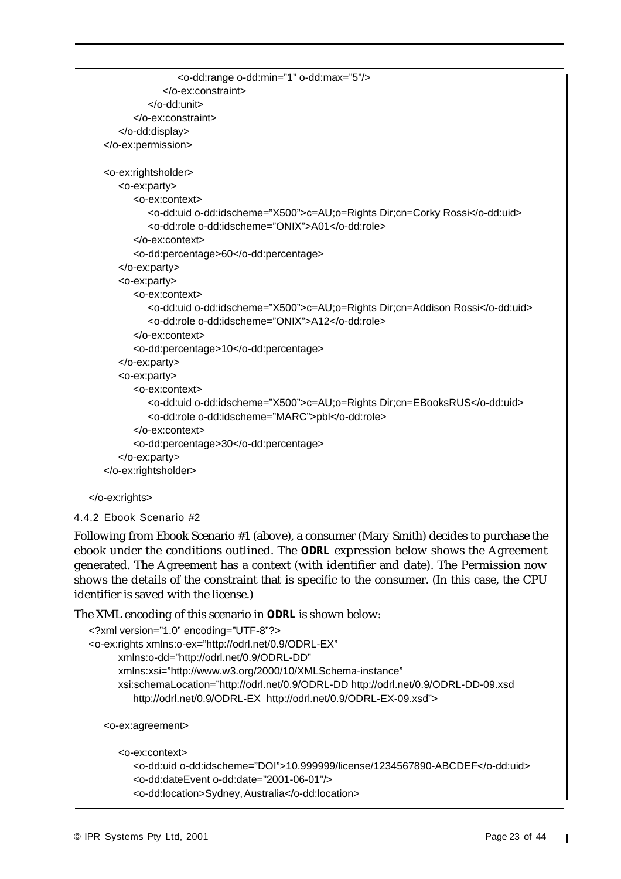```
<o-dd:range o-dd:min="1" o-dd:max="5"/>
            </o-ex:constraint>
         </o-dd:unit>
      </o-ex:constraint>
   </o-dd:display>
</o-ex:permission>
<o-ex:rightsholder>
   <o-ex:party>
     <o-ex:context>
        <o-dd:uid o-dd:idscheme="X500">c=AU;o=Rights Dir;cn=Corky Rossi</o-dd:uid>
        <o-dd:role o-dd:idscheme="ONIX">A01</o-dd:role>
      </o-ex:context>
      <o-dd:percentage>60</o-dd:percentage>
   </o-ex:party>
   <o-ex:party>
     <o-ex:context>
        <o-dd:uid o-dd:idscheme="X500">c=AU;o=Rights Dir;cn=Addison Rossi</o-dd:uid>
        <o-dd:role o-dd:idscheme="ONIX">A12</o-dd:role>
     </o-ex:context>
      <o-dd:percentage>10</o-dd:percentage>
   </o-ex:party>
   <o-ex:party>
     <o-ex:context>
        <o-dd:uid o-dd:idscheme="X500">c=AU;o=Rights Dir;cn=EBooksRUS</o-dd:uid>
         <o-dd:role o-dd:idscheme="MARC">pbl</o-dd:role>
     </o-ex:context>
      <o-dd:percentage>30</o-dd:percentage>
   </o-ex:party>
</o-ex:rightsholder>
```
</o-ex:rights>

```
4.4.2 Ebook Scenario #2
```
Following from Ebook Scenario #1 (above), a consumer (Mary Smith) decides to purchase the ebook under the conditions outlined. The *ODRL* expression below shows the Agreement generated. The Agreement has a context (with identifier and date). The Permission now shows the details of the constraint that is specific to the consumer. (In this case, the CPU identifier is saved with the license.)

The XML encoding of this scenario in *ODRL* is shown below:

```
<?xml version="1.0" encoding="UTF-8"?>
<o-ex:rights xmlns:o-ex="http://odrl.net/0.9/ODRL-EX"
      xmlns:o-dd="http://odrl.net/0.9/ODRL-DD" 
      xmlns:xsi="http://www.w3.org/2000/10/XMLSchema-instance"
      xsi:schemaLocation="http://odrl.net/0.9/ODRL-DD http://odrl.net/0.9/ODRL-DD-09.xsd
         http://odrl.net/0.9/ODRL-EX http://odrl.net/0.9/ODRL-EX-09.xsd">
```
<o-ex:agreement>

<o-ex:context>

```
<o-dd:uid o-dd:idscheme="DOI">10.999999/license/1234567890-ABCDEF</o-dd:uid>
<o-dd:dateEvent o-dd:date="2001-06-01"/>
<o-dd:location>Sydney, Australia</o-dd:location>
```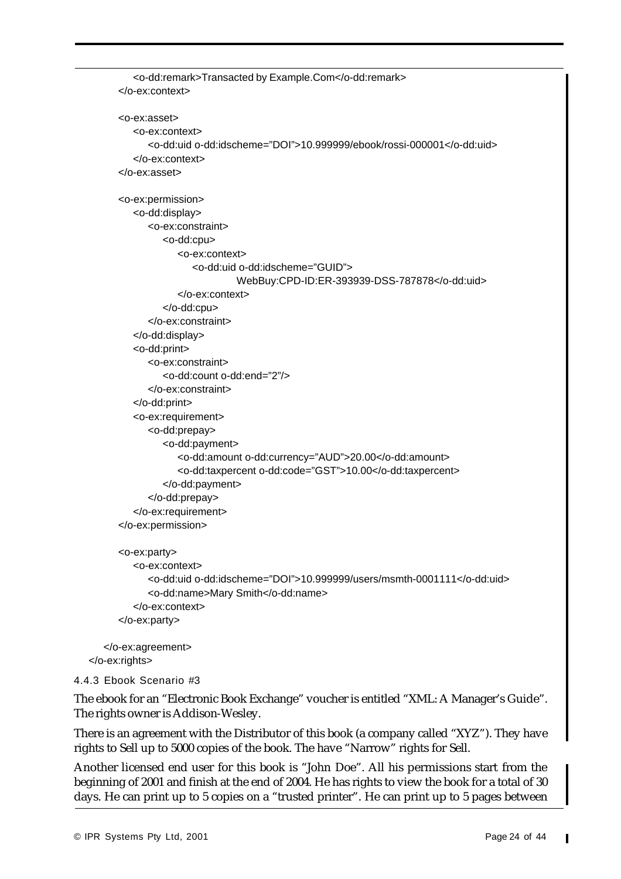```
<o-dd:remark>Transacted by Example.Com</o-dd:remark>
   </o-ex:context>
   <o-ex:asset>
     <o-ex:context>
         <o-dd:uid o-dd:idscheme="DOI">10.999999/ebook/rossi-000001</o-dd:uid>
      </o-ex:context>
   </o-ex:asset>
   <o-ex:permission>
     <o-dd:display>
        <o-ex:constraint>
            <o-dd:cpu>
               <o-ex:context>
                  <o-dd:uid o-dd:idscheme="GUID">
                           WebBuy:CPD-ID:ER-393939-DSS-787878</o-dd:uid>
              </o-ex:context>
            </o-dd:cpu>
        </o-ex:constraint>
     </o-dd:display>
     <o-dd:print>
        <o-ex:constraint>
            <o-dd:count o-dd:end="2"/>
        </o-ex:constraint>
     </o-dd:print>
     <o-ex:requirement>
        <o-dd:prepay>
            <o-dd:payment>
               <o-dd:amount o-dd:currency="AUD">20.00</o-dd:amount>
               <o-dd:taxpercent o-dd:code="GST">10.00</o-dd:taxpercent>
            </o-dd:payment>
        </o-dd:prepay>
     </o-ex:requirement>
   </o-ex:permission>
   <o-ex:party>
     <o-ex:context>
        <o-dd:uid o-dd:idscheme="DOI">10.999999/users/msmth-0001111</o-dd:uid>
        <o-dd:name>Mary Smith</o-dd:name>
     </o-ex:context>
   </o-ex:party>
</o-ex:agreement>
```

```
</o-ex:rights>
```
#### 4.4.3 Ebook Scenario #3

The ebook for an "Electronic Book Exchange" voucher is entitled "XML: A Manager's Guide". The rights owner is Addison-Wesley.

There is an agreement with the Distributor of this book (a company called "XYZ"). They have rights to Sell up to 5000 copies of the book. The have "Narrow" rights for Sell.

Another licensed end user for this book is "John Doe". All his permissions start from the beginning of 2001 and finish at the end of 2004. He has rights to view the book for a total of 30 days. He can print up to 5 copies on a "trusted printer". He can print up to 5 pages between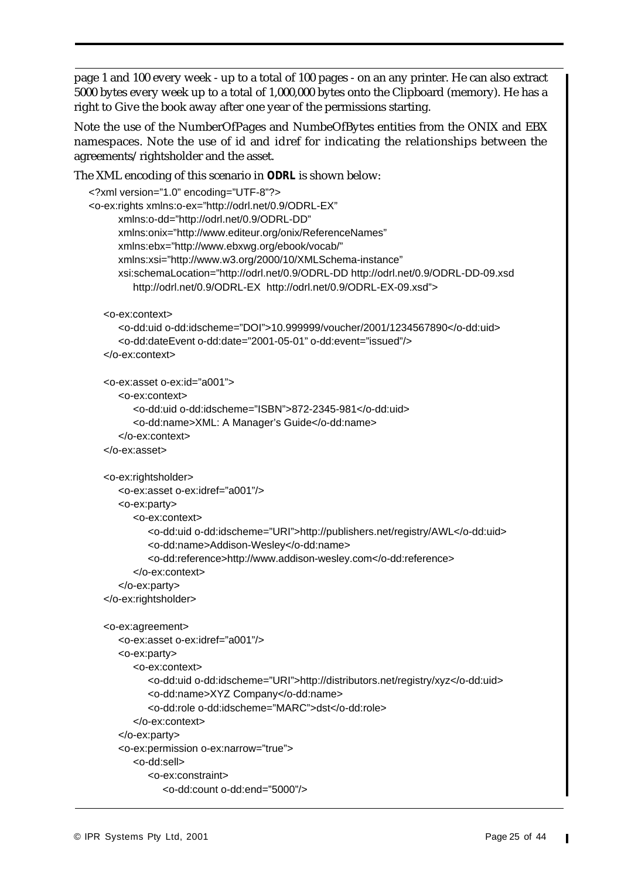page 1 and 100 every week - up to a total of 100 pages - on an any printer. He can also extract 5000 bytes every week up to a total of 1,000,000 bytes onto the Clipboard (memory). He has a right to Give the book away after one year of the permissions starting.

Note the use of the NumberOfPages and NumbeOfBytes entities from the ONIX and EBX namespaces. Note the use of id and idref for indicating the relationships between the agreements/rightsholder and the asset.

```
The XML encoding of this scenario in ODRL is shown below:
```

```
<?xml version="1.0" encoding="UTF-8"?>
<o-ex:rights xmlns:o-ex="http://odrl.net/0.9/ODRL-EX"
     xmlns:o-dd="http://odrl.net/0.9/ODRL-DD"
     xmlns:onix="http://www.editeur.org/onix/ReferenceNames"
     xmlns:ebx="http://www.ebxwg.org/ebook/vocab/"
     xmlns:xsi="http://www.w3.org/2000/10/XMLSchema-instance"
     xsi:schemaLocation="http://odrl.net/0.9/ODRL-DD http://odrl.net/0.9/ODRL-DD-09.xsd
        http://odrl.net/0.9/ODRL-EX http://odrl.net/0.9/ODRL-EX-09.xsd">
  <o-ex:context>
     <o-dd:uid o-dd:idscheme="DOI">10.999999/voucher/2001/1234567890</o-dd:uid>
     <o-dd:dateEvent o-dd:date="2001-05-01" o-dd:event="issued"/>
  </o-ex:context>
  <o-ex:asset o-ex:id="a001">
     <o-ex:context>
         <o-dd:uid o-dd:idscheme="ISBN">872-2345-981</o-dd:uid>
        <o-dd:name>XML: A Manager's Guide</o-dd:name>
     </o-ex:context>
  </o-ex:asset>
  <o-ex:rightsholder>
     <o-ex:asset o-ex:idref="a001"/>
     <o-ex:party>
        <o-ex:context>
           <o-dd:uid o-dd:idscheme="URI">http://publishers.net/registry/AWL</o-dd:uid>
           <o-dd:name>Addison-Wesley</o-dd:name>
           <o-dd:reference>http://www.addison-wesley.com</o-dd:reference>
        </o-ex:context>
     </o-ex:party>
  </o-ex:rightsholder>
  <o-ex:agreement>
     <o-ex:asset o-ex:idref="a001"/>
     <o-ex:party>
         <o-ex:context>
           <o-dd:uid o-dd:idscheme="URI">http://distributors.net/registry/xyz</o-dd:uid>
           <o-dd:name>XYZ Company</o-dd:name>
            <o-dd:role o-dd:idscheme="MARC">dst</o-dd:role>
        </o-ex:context>
     </o-ex:party>
     <o-ex:permission o-ex:narrow="true">
         <o-dd:sell>
           <o-ex:constraint>
               <o-dd:count o-dd:end="5000"/>
```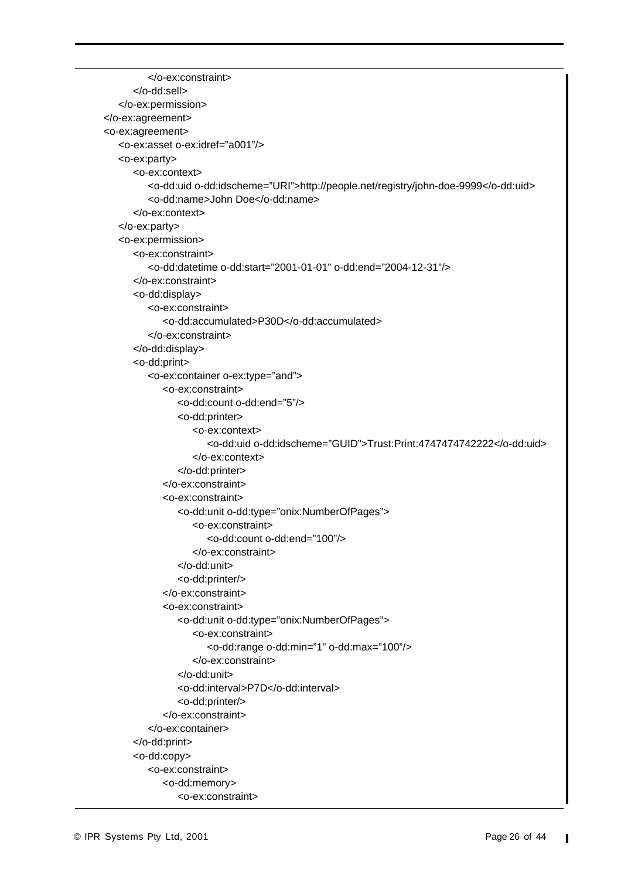```
</o-ex:constraint>
      </o-dd:sell>
   </o-ex:permission>
</o-ex:agreement>
<o-ex:agreement>
   <o-ex:asset o-ex:idref="a001"/>
   <o-ex:party>
      <o-ex:context>
         <o-dd:uid o-dd:idscheme="URI">http://people.net/registry/john-doe-9999</o-dd:uid>
         <o-dd:name>John Doe</o-dd:name>
      </o-ex:context>
   </o-ex:party>
   <o-ex:permission>
      <o-ex:constraint>
         <o-dd:datetime o-dd:start="2001-01-01" o-dd:end="2004-12-31"/>
      </o-ex:constraint>
      <o-dd:display>
         <o-ex:constraint>
            <o-dd:accumulated>P30D</o-dd:accumulated>
         </o-ex:constraint>
      </o-dd:display>
      <o-dd:print>
         <o-ex:container o-ex:type="and">
            <o-ex:constraint>
               <o-dd:count o-dd:end="5"/>
               <o-dd:printer>
                  <o-ex:context>
                     <o-dd:uid o-dd:idscheme="GUID">Trust:Print:4747474742222</o-dd:uid>
                  </o-ex:context>
               </o-dd:printer>
            </o-ex:constraint>
            <o-ex:constraint>
               <o-dd:unit o-dd:type="onix:NumberOfPages">
                  <o-ex:constraint>
                     <o-dd:count o-dd:end="100"/>
                  </o-ex:constraint>
               </o-dd:unit>
               <o-dd:printer/>
            </o-ex:constraint>
            <o-ex:constraint>
               <o-dd:unit o-dd:type="onix:NumberOfPages">
                  <o-ex:constraint>
                     <o-dd:range o-dd:min="1" o-dd:max="100"/>
                  </o-ex:constraint>
               </o-dd:unit>
               <o-dd:interval>P7D</o-dd:interval>
               <o-dd:printer/>
            </o-ex:constraint>
         </o-ex:container>
      </o-dd:print>
      <o-dd:copy>
         <o-ex:constraint>
            <o-dd:memory>
               <o-ex:constraint>
```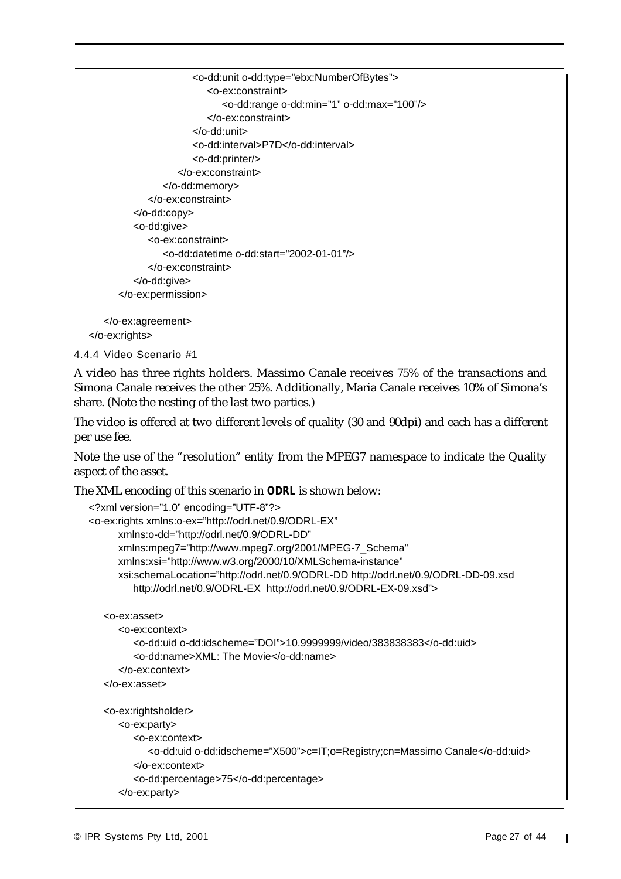<o-dd:unit o-dd:type="ebx:NumberOfBytes"> <o-ex:constraint> <o-dd:range o-dd:min="1" o-dd:max="100"/> </o-ex:constraint> </o-dd:unit> <o-dd:interval>P7D</o-dd:interval> <o-dd:printer/> </o-ex:constraint> </o-dd:memory> </o-ex:constraint> </o-dd:copy> <o-dd:give> <o-ex:constraint> <o-dd:datetime o-dd:start="2002-01-01"/> </o-ex:constraint> </o-dd:give> </o-ex:permission>

</o-ex:agreement> </o-ex:rights>

#### 4.4.4 Video Scenario #1

A video has three rights holders. Massimo Canale receives 75% of the transactions and Simona Canale receives the other 25%. Additionally, Maria Canale receives 10% of Simona's share. (Note the nesting of the last two parties.)

The video is offered at two different levels of quality (30 and 90dpi) and each has a different per use fee.

Note the use of the "resolution" entity from the MPEG7 namespace to indicate the Quality aspect of the asset.

The XML encoding of this scenario in *ODRL* is shown below:

```
<?xml version="1.0" encoding="UTF-8"?>
<o-ex:rights xmlns:o-ex="http://odrl.net/0.9/ODRL-EX"
      xmlns:o-dd="http://odrl.net/0.9/ODRL-DD"
      xmlns:mpeg7="http://www.mpeg7.org/2001/MPEG-7_Schema"
      xmlns:xsi="http://www.w3.org/2000/10/XMLSchema-instance"
     xsi:schemaLocation="http://odrl.net/0.9/ODRL-DD http://odrl.net/0.9/ODRL-DD-09.xsd
        http://odrl.net/0.9/ODRL-EX http://odrl.net/0.9/ODRL-EX-09.xsd">
   <o-ex:asset>
      <o-ex:context>
        <o-dd:uid o-dd:idscheme="DOI">10.9999999/video/383838383</o-dd:uid>
         <o-dd:name>XML: The Movie</o-dd:name>
      </o-ex:context>
   </o-ex:asset>
   <o-ex:rightsholder>
     <o-ex:party>
        <o-ex:context>
           <o-dd:uid o-dd:idscheme="X500">c=IT;o=Registry;cn=Massimo Canale</o-dd:uid>
        </o-ex:context>
         <o-dd:percentage>75</o-dd:percentage>
      </o-ex:party>
```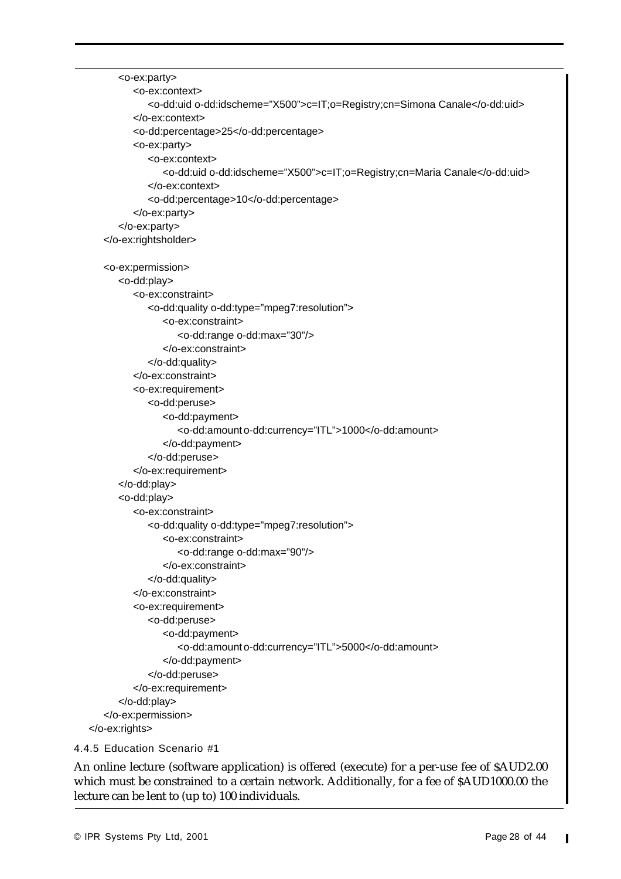```
<o-ex:party>
            <o-ex:context>
               <o-dd:uid o-dd:idscheme="X500">c=IT;o=Registry;cn=Simona Canale</o-dd:uid>
            </o-ex:context>
            <o-dd:percentage>25</o-dd:percentage>
            <o-ex:party>
               <o-ex:context>
                  <o-dd:uid o-dd:idscheme="X500">c=IT;o=Registry;cn=Maria Canale</o-dd:uid>
               </o-ex:context>
               <o-dd:percentage>10</o-dd:percentage>
            </o-ex:party>
         </o-ex:party>
      </o-ex:rightsholder>
      <o-ex:permission>
         <o-dd:play>
            <o-ex:constraint>
               <o-dd:quality o-dd:type="mpeg7:resolution">
                  <o-ex:constraint>
                     <o-dd:range o-dd:max="30"/>
                  </o-ex:constraint>
               </o-dd:quality>
            </o-ex:constraint>
            <o-ex:requirement>
               <o-dd:peruse>
                  <o-dd:payment>
                     <o-dd:amount o-dd:currency="ITL">1000</o-dd:amount>
                  </o-dd:payment>
               </o-dd:peruse>
            </o-ex:requirement>
         </o-dd:play>
         <o-dd:play>
            <o-ex:constraint>
               <o-dd:quality o-dd:type="mpeg7:resolution">
                  <o-ex:constraint>
                     <o-dd:range o-dd:max="90"/>
                  </o-ex:constraint>
               </o-dd:quality>
            </o-ex:constraint>
            <o-ex:requirement>
               <o-dd:peruse>
                  <o-dd:payment>
                     <o-dd:amount o-dd:currency="ITL">5000</o-dd:amount>
                  </o-dd:payment>
               </o-dd:peruse>
            </o-ex:requirement>
         </o-dd:play>
      </o-ex:permission>
   </o-ex:rights>
4.4.5 Education Scenario #1
An online lecture (software application) is offered (execute) for a per-use fee of $AUD2.00
which must be constrained to a certain network. Additionally, for a fee of $AUD1000.00 the
```
lecture can be lent to (up to) 100 individuals.

Ī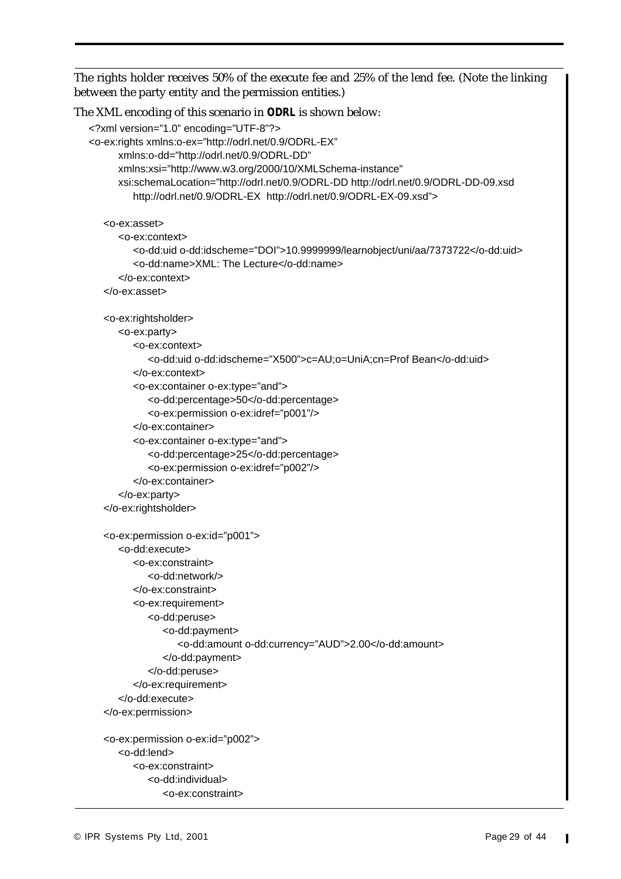The rights holder receives 50% of the execute fee and 25% of the lend fee. (Note the linking between the party entity and the permission entities.)

```
The XML encoding of this scenario in ODRL is shown below:
   <?xml version="1.0" encoding="UTF-8"?>
   <o-ex:rights xmlns:o-ex="http://odrl.net/0.9/ODRL-EX"
         xmlns:o-dd="http://odrl.net/0.9/ODRL-DD"
         xmlns:xsi="http://www.w3.org/2000/10/XMLSchema-instance"
         xsi:schemaLocation="http://odrl.net/0.9/ODRL-DD http://odrl.net/0.9/ODRL-DD-09.xsd
            http://odrl.net/0.9/ODRL-EX http://odrl.net/0.9/ODRL-EX-09.xsd">
      <o-ex:asset>
         <o-ex:context>
            <o-dd:uid o-dd:idscheme="DOI">10.9999999/learnobject/uni/aa/7373722</o-dd:uid>
            <o-dd:name>XML: The Lecture</o-dd:name>
         </o-ex:context>
      </o-ex:asset>
      <o-ex:rightsholder>
         <o-ex:party>
            <o-ex:context>
               <o-dd:uid o-dd:idscheme="X500">c=AU;o=UniA;cn=Prof Bean</o-dd:uid>
            </o-ex:context>
            <o-ex:container o-ex:type="and">
               <o-dd:percentage>50</o-dd:percentage>
               <o-ex:permission o-ex:idref="p001"/>
            </o-ex:container>
            <o-ex:container o-ex:type="and">
               <o-dd:percentage>25</o-dd:percentage>
               <o-ex:permission o-ex:idref="p002"/>
            </o-ex:container>
         </o-ex:party>
      </o-ex:rightsholder>
      <o-ex:permission o-ex:id="p001">
         <o-dd:execute>
            <o-ex:constraint>
               <o-dd:network/>
            </o-ex:constraint>
            <o-ex:requirement>
               <o-dd:peruse>
                  <o-dd:payment>
                     <o-dd:amount o-dd:currency="AUD">2.00</o-dd:amount>
                  </o-dd:payment>
               </o-dd:peruse>
            </o-ex:requirement>
         </o-dd:execute>
      </o-ex:permission>
      <o-ex:permission o-ex:id="p002">
         <o-dd:lend>
            <o-ex:constraint>
               <o-dd:individual>
                  <o-ex:constraint>
```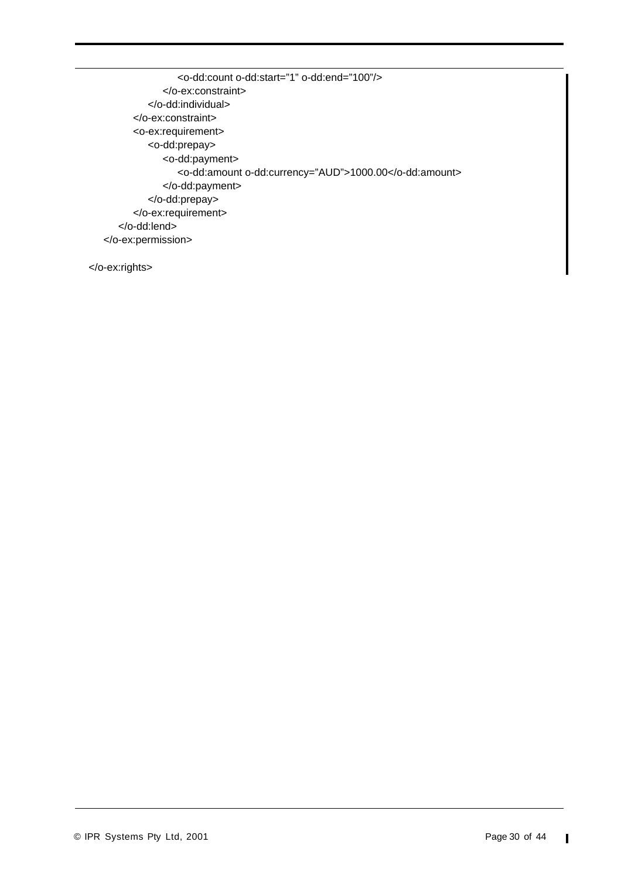<o-dd:count o-dd:start="1" o-dd:end="100"/> </o-ex:constraint> </o-dd:individual> </o-ex:constraint> <o-ex:requirement> <o-dd:prepay> <o-dd:payment> <o-dd:amount o-dd:currency="AUD">1000.00</o-dd:amount> </o-dd:payment> </o-dd:prepay> </o-ex:requirement> </o-dd:lend> </o-ex:permission>

</o-ex:rights>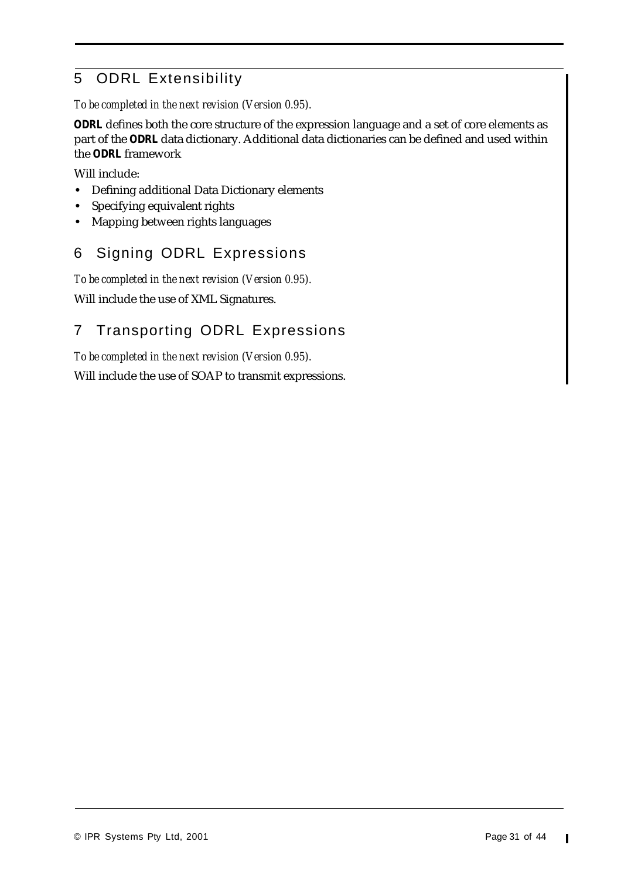# 5 ODRL Extensibility

## *To be completed in the next revision (Version 0.95).*

*ODRL* defines both the core structure of the expression language and a set of core elements as part of the *ODRL* data dictionary. Additional data dictionaries can be defined and used within the *ODRL* framework

Will include:

- **•** Defining additional Data Dictionary elements
- **•** Specifying equivalent rights
- **•** Mapping between rights languages

# 6 Signing ODRL Expressions

*To be completed in the next revision (Version 0.95).*

Will include the use of XML Signatures.

# 7 Transporting ODRL Expressions

*To be completed in the next revision (Version 0.95).*

Will include the use of SOAP to transmit expressions.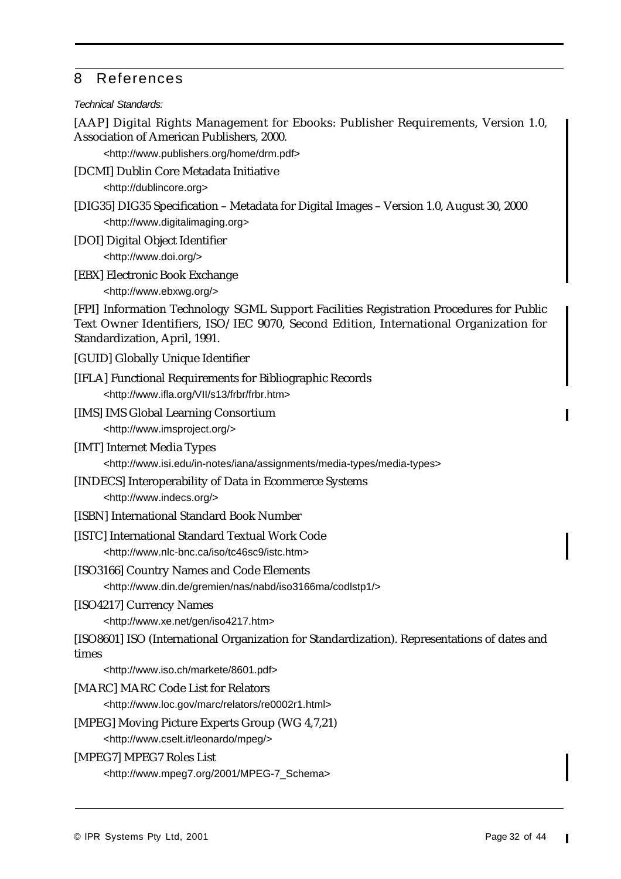# 8 References

#### *Technical Standards:*

[AAP] Digital Rights Management for Ebooks: Publisher Requirements, Version 1.0, Association of American Publishers, 2000.

[<http://www.publishers.org/home/drm.pdf>](http://www.publishers.org/home/drm.pdf)

[DCMI] Dublin Core Metadata Initiative

[<http://dublincore.org>](http://dublincore.org)

- [DIG35] DIG35 Specification Metadata for Digital Images Version 1.0, August 30, 2000 [<http://www.digitalimaging.org>](http://www.digitalimaging.org)
- [DOI] Digital Object Identifier

[<http://www.doi.org/>](http://www.doi.org/)

[EBX] Electronic Book Exchange

[<http://www.ebxwg.org/>](http://www.ebxwg.org/)

[FPI] Information Technology SGML Support Facilities Registration Procedures for Public Text Owner Identifiers, ISO/IEC 9070, Second Edition, International Organization for Standardization, April, 1991.

[GUID] Globally Unique Identifier

| [IFLA] Functional Requirements for Bibliographic Records          |  |
|-------------------------------------------------------------------|--|
| <http: frbr="" frbr.htm="" s13="" vii="" www.ifla.org=""></http:> |  |

- [IMS] IMS Global Learning Consortium [<http://www.imsproject.org/>](http://www.imsproject.org/)
- [IMT] Internet Media Types

[<http://www.isi.edu/in-notes/iana/assignments/media-types/media-types>](http://www.isi.edu/in-notes/iana/assignments/media-types/media-types)

- [INDECS] Interoperability of Data in Ecommerce Systems [<http://www.indecs.org/>](http://www.indecs.org/)
- [ISBN] International Standard Book Number

# [ISTC] International Standard Textual Work Code

[<http://www.nlc-bnc.ca/iso/tc46sc9/istc.htm>](http://www.nlc-bnc.ca/iso/tc46sc9/istc.htm)

#### [ISO3166] Country Names and Code Elements

[<http://www.din.de/gremien/nas/nabd/iso3166ma/codlstp1/>](http://www.din.de/gremien/nas/nabd/iso3166ma/codlstp1/)

#### [ISO4217] Currency Names

[<http://www.xe.net/gen/iso4217.htm>](http://www.xe.net/gen/iso4217.htm)

[ISO8601] ISO (International Organization for Standardization). Representations of dates and times

[<http://www.iso.ch/markete/8601.pdf>](http://www.iso.ch/markete/8601.pdf)

#### [MARC] MARC Code List for Relators

[<http://www.loc.gov/marc/relators/re0002r1.html>](http://www.loc.gov/marc/relators/re0002r1.html)

[MPEG] Moving Picture Experts Group (WG 4,7,21)

[<http://www.cselt.it/leonardo/mpeg/>](http://www.cselt.it/leonardo/mpeg/)

#### [MPEG7] MPEG7 Roles List

[<http://www.mpeg7.org/2001/MPEG-7\\_Schema>](http://www.mpeg7.org/2001/MPEG-7_Schema>)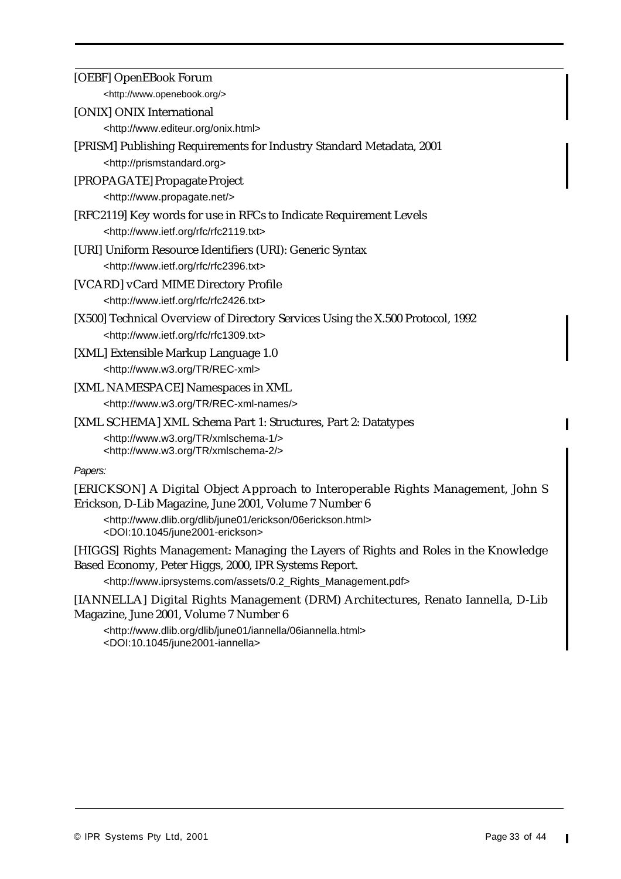| [OEBF] OpenEBook Forum                                                                                                                                                                                                        |
|-------------------------------------------------------------------------------------------------------------------------------------------------------------------------------------------------------------------------------|
| <http: www.openebook.org=""></http:>                                                                                                                                                                                          |
| [ONIX] ONIX International                                                                                                                                                                                                     |
| <http: onix.html="" www.editeur.org=""></http:>                                                                                                                                                                               |
| [PRISM] Publishing Requirements for Industry Standard Metadata, 2001<br><http: prismstandard.org=""></http:>                                                                                                                  |
| [PROPAGATE] Propagate Project<br><http: www.propagate.net=""></http:>                                                                                                                                                         |
| [RFC2119] Key words for use in RFCs to Indicate Requirement Levels<br><http: rfc="" rfc2119.txt="" www.ietf.org=""></http:>                                                                                                   |
| [URI] Uniform Resource Identifiers (URI): Generic Syntax<br><http: rfc="" rfc2396.txt="" www.ietf.org=""></http:>                                                                                                             |
| [VCARD] vCard MIME Directory Profile<br><http: rfc="" rfc2426.txt="" www.ietf.org=""></http:>                                                                                                                                 |
| [X500] Technical Overview of Directory Services Using the X.500 Protocol, 1992<br><http: rfc="" rfc1309.txt="" www.ietf.org=""></http:>                                                                                       |
| [XML] Extensible Markup Language 1.0<br><http: rec-xml="" tr="" www.w3.org=""></http:>                                                                                                                                        |
| [XML NAMESPACE] Namespaces in XML                                                                                                                                                                                             |
| <http: rec-xml-names="" tr="" www.w3.org=""></http:>                                                                                                                                                                          |
| [XML SCHEMA] XML Schema Part 1: Structures, Part 2: Datatypes<br><http: tr="" www.w3.org="" xmlschema-1=""></http:><br><http: tr="" www.w3.org="" xmlschema-2=""></http:>                                                     |
| Papers:                                                                                                                                                                                                                       |
| [ERICKSON] A Digital Object Approach to Interoperable Rights Management, John S<br>Erickson, D-Lib Magazine, June 2001, Volume 7 Number 6<br><http: 06erickson.html="" dlib="" erickson="" june01="" www.dlib.org=""></http:> |
| <doi:10.1045 june2001-erickson=""></doi:10.1045>                                                                                                                                                                              |
| [HIGGS] Rights Management: Managing the Layers of Rights and Roles in the Knowledge<br>Based Economy, Peter Higgs, 2000, IPR Systems Report.                                                                                  |
| <http: 0.2_rights_management.pdf="" assets="" www.iprsystems.com=""></http:>                                                                                                                                                  |
| [IANNELLA] Digital Rights Management (DRM) Architectures, Renato Iannella, D-Lib<br>Magazine, June 2001, Volume 7 Number 6<br><http: 06iannella.html="" dlib="" iannella="" june01="" www.dlib.org=""></http:>                |

<DOI:10.1045/june2001-iannella>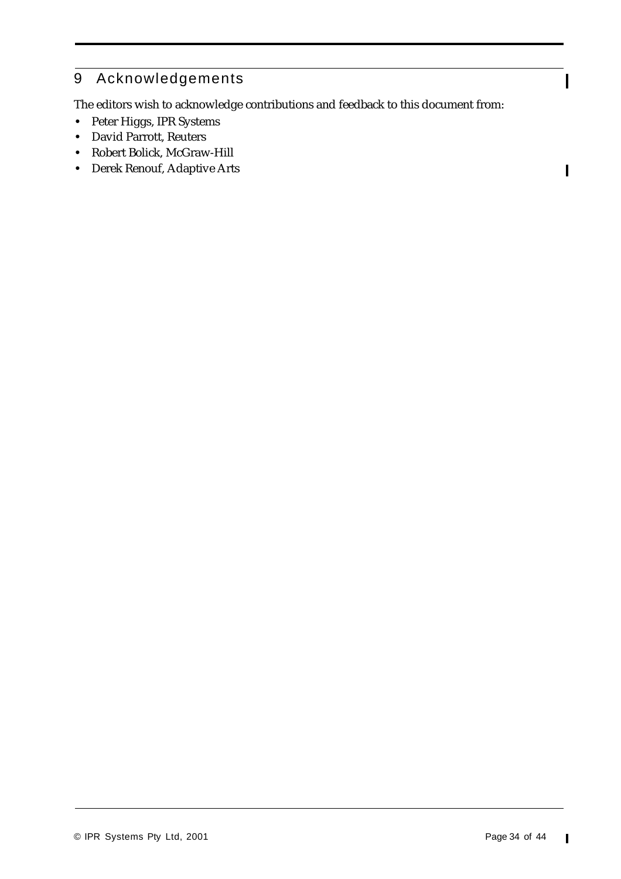# 9 Acknowledgements

The editors wish to acknowledge contributions and feedback to this document from:

- **•** Peter Higgs, IPR Systems
- **•** David Parrott, Reuters
- **•** Robert Bolick, McGraw-Hill
- **•** Derek Renouf, Adaptive Arts

 $\mathbf I$ 

 $\mathbf I$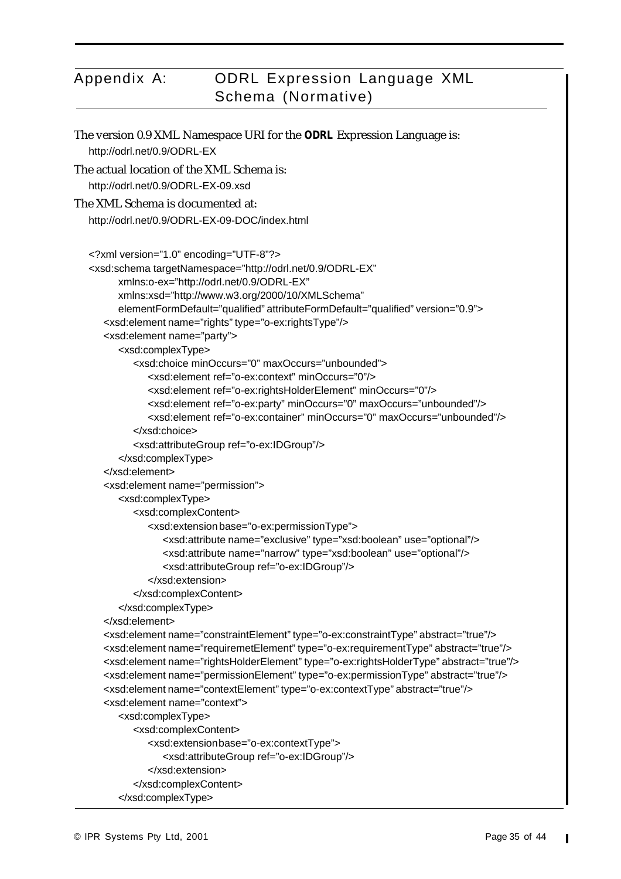# Appendix A: ODRL Expression Language XML Schema (Normative)

```
The version 0.9 XML Namespace URI for the ODRL Expression Language is:
   http://odrl.net/0.9/ODRL-EX
The actual location of the XML Schema is:
   http://odrl.net/0.9/ODRL-EX-09.xsd
The XML Schema is documented at:
   http://odrl.net/0.9/ODRL-EX-09-DOC/index.html
   <?xml version="1.0" encoding="UTF-8"?>
   <xsd:schema targetNamespace="http://odrl.net/0.9/ODRL-EX"
         xmlns:o-ex="http://odrl.net/0.9/ODRL-EX"
         xmlns:xsd="http://www.w3.org/2000/10/XMLSchema"
         elementFormDefault="qualified" attributeFormDefault="qualified" version="0.9">
      <xsd:element name="rights" type="o-ex:rightsType"/>
      <xsd:element name="party">
         <xsd:complexType>
            <xsd:choice minOccurs="0" maxOccurs="unbounded">
               <xsd:element ref="o-ex:context" minOccurs="0"/>
               <xsd:element ref="o-ex:rightsHolderElement" minOccurs="0"/>
               <xsd:element ref="o-ex:party" minOccurs="0" maxOccurs="unbounded"/>
               <xsd:element ref="o-ex:container" minOccurs="0" maxOccurs="unbounded"/>
            </xsd:choice>
            <xsd:attributeGroup ref="o-ex:IDGroup"/>
         </xsd:complexType>
      </xsd:element>
      <xsd:element name="permission">
         <xsd:complexType>
            <xsd:complexContent>
               <xsd:extension base="o-ex:permissionType">
                  <xsd:attribute name="exclusive" type="xsd:boolean" use="optional"/>
                  <xsd:attribute name="narrow" type="xsd:boolean" use="optional"/>
                  <xsd:attributeGroup ref="o-ex:IDGroup"/>
               </xsd:extension>
            </xsd:complexContent>
         </xsd:complexType>
      </xsd:element>
      <xsd:element name="constraintElement" type="o-ex:constraintType" abstract="true"/>
      <xsd:element name="requiremetElement" type="o-ex:requirementType" abstract="true"/>
      <xsd:element name="rightsHolderElement" type="o-ex:rightsHolderType" abstract="true"/>
      <xsd:element name="permissionElement" type="o-ex:permissionType" abstract="true"/>
      <xsd:element name="contextElement" type="o-ex:contextType" abstract="true"/>
      <xsd:element name="context">
         <xsd:complexType>
            <xsd:complexContent>
               <xsd:extension base="o-ex:contextType">
                  <xsd:attributeGroup ref="o-ex:IDGroup"/>
               </xsd:extension>
            </xsd:complexContent>
         </xsd:complexType>
```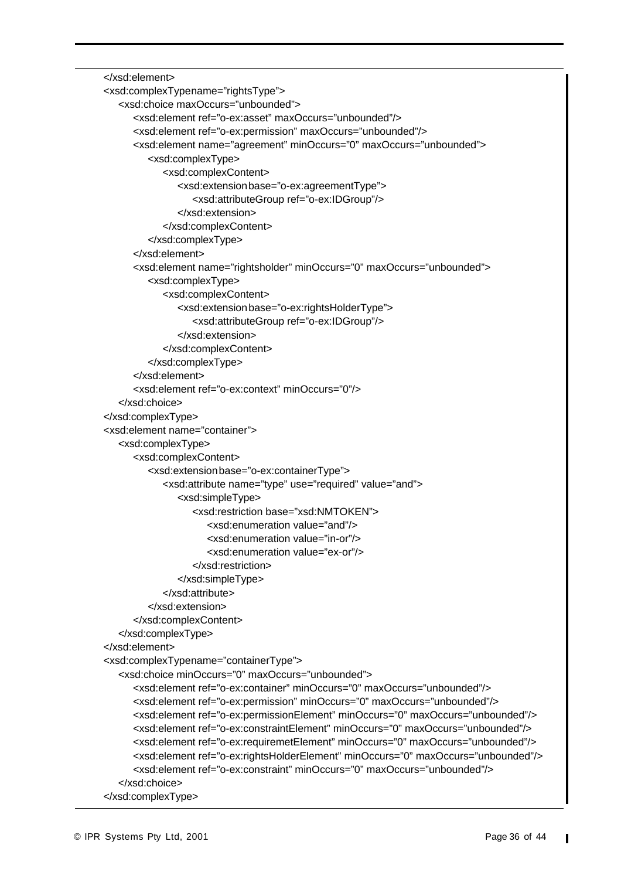```
</xsd:element>
<xsd:complexTypename="rightsType">
  <xsd:choice maxOccurs="unbounded">
     <xsd:element ref="o-ex:asset" maxOccurs="unbounded"/>
     <xsd:element ref="o-ex:permission" maxOccurs="unbounded"/>
     <xsd:element name="agreement" minOccurs="0" maxOccurs="unbounded">
        <xsd:complexType>
           <xsd:complexContent>
              <xsd:extension base="o-ex:agreementType">
                 <xsd:attributeGroup ref="o-ex:IDGroup"/>
              </xsd:extension>
           </xsd:complexContent>
        </xsd:complexType>
     </xsd:element>
     <xsd:element name="rightsholder" minOccurs="0" maxOccurs="unbounded">
        <xsd:complexType>
           <xsd:complexContent>
              <xsd:extension base="o-ex:rightsHolderType">
                 <xsd:attributeGroup ref="o-ex:IDGroup"/>
              </xsd:extension>
           </xsd:complexContent>
        </xsd:complexType>
     </xsd:element>
     <xsd:element ref="o-ex:context" minOccurs="0"/>
  </xsd:choice>
</xsd:complexType>
<xsd:element name="container">
  <xsd:complexType>
     <xsd:complexContent>
        <xsd:extension base="o-ex:containerType">
           <xsd:attribute name="type" use="required" value="and">
              <xsd:simpleType>
                 <xsd:restriction base="xsd:NMTOKEN">
                    <xsd:enumeration value="and"/>
                    <xsd:enumeration value="in-or"/>
                    <xsd:enumeration value="ex-or"/>
                 </xsd:restriction>
              </xsd:simpleType>
           </xsd:attribute>
        </xsd:extension>
     </xsd:complexContent>
  </xsd:complexType>
</xsd:element>
<xsd:complexTypename="containerType">
  <xsd:choice minOccurs="0" maxOccurs="unbounded">
     <xsd:element ref="o-ex:container" minOccurs="0" maxOccurs="unbounded"/>
     <xsd:element ref="o-ex:permission" minOccurs="0" maxOccurs="unbounded"/>
     <xsd:element ref="o-ex:permissionElement" minOccurs="0" maxOccurs="unbounded"/>
     <xsd:element ref="o-ex:constraintElement" minOccurs="0" maxOccurs="unbounded"/>
     <xsd:element ref="o-ex:requiremetElement" minOccurs="0" maxOccurs="unbounded"/>
     <xsd:element ref="o-ex:rightsHolderElement" minOccurs="0" maxOccurs="unbounded"/>
     <xsd:element ref="o-ex:constraint" minOccurs="0" maxOccurs="unbounded"/>
  </xsd:choice>
</xsd:complexType>
```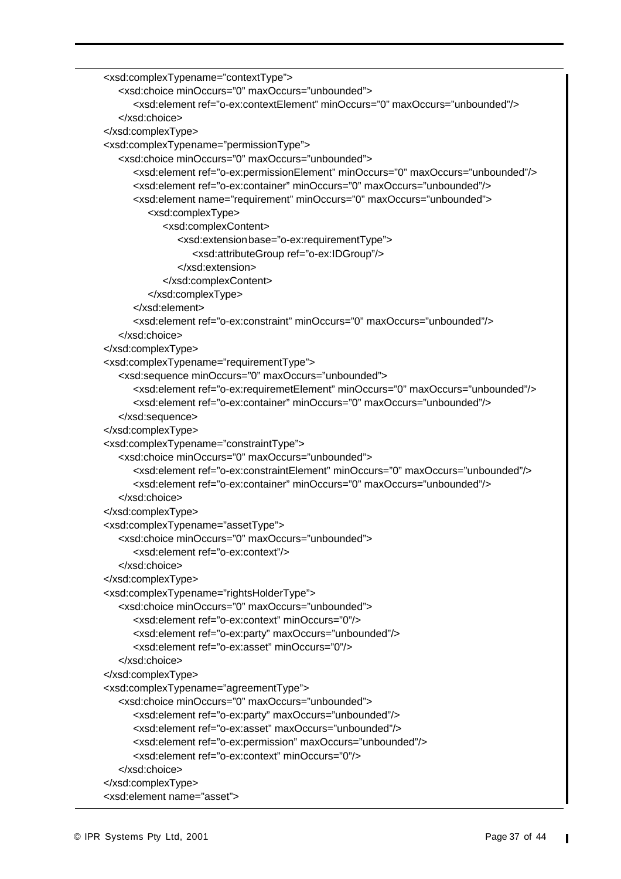```
<xsd:complexTypename="contextType">
  <xsd:choice minOccurs="0" maxOccurs="unbounded">
      <xsd:element ref="o-ex:contextElement" minOccurs="0" maxOccurs="unbounded"/>
  </xsd:choice>
</xsd:complexType>
<xsd:complexTypename="permissionType">
  <xsd:choice minOccurs="0" maxOccurs="unbounded">
     <xsd:element ref="o-ex:permissionElement" minOccurs="0" maxOccurs="unbounded"/>
     <xsd:element ref="o-ex:container" minOccurs="0" maxOccurs="unbounded"/>
     <xsd:element name="requirement" minOccurs="0" maxOccurs="unbounded">
        <xsd:complexType>
           <xsd:complexContent>
              <xsd:extension base="o-ex:requirementType">
                 <xsd:attributeGroup ref="o-ex:IDGroup"/>
              </xsd:extension>
           </xsd:complexContent>
        </xsd:complexType>
     </xsd:element>
     <xsd:element ref="o-ex:constraint" minOccurs="0" maxOccurs="unbounded"/>
  </xsd:choice>
</xsd:complexType>
<xsd:complexTypename="requirementType">
  <xsd:sequence minOccurs="0" maxOccurs="unbounded">
     <xsd:element ref="o-ex:requiremetElement" minOccurs="0" maxOccurs="unbounded"/>
     <xsd:element ref="o-ex:container" minOccurs="0" maxOccurs="unbounded"/>
  </xsd:sequence>
</xsd:complexType>
<xsd:complexTypename="constraintType">
  <xsd:choice minOccurs="0" maxOccurs="unbounded">
     <xsd:element ref="o-ex:constraintElement" minOccurs="0" maxOccurs="unbounded"/>
     <xsd:element ref="o-ex:container" minOccurs="0" maxOccurs="unbounded"/>
  </xsd:choice>
</xsd:complexType>
<xsd:complexTypename="assetType">
  <xsd:choice minOccurs="0" maxOccurs="unbounded">
     <xsd:element ref="o-ex:context"/>
  </xsd:choice>
</xsd:complexType>
<xsd:complexTypename="rightsHolderType">
  <xsd:choice minOccurs="0" maxOccurs="unbounded">
     <xsd:element ref="o-ex:context" minOccurs="0"/>
     <xsd:element ref="o-ex:party" maxOccurs="unbounded"/>
     <xsd:element ref="o-ex:asset" minOccurs="0"/>
  </xsd:choice>
</xsd:complexType>
<xsd:complexTypename="agreementType">
  <xsd:choice minOccurs="0" maxOccurs="unbounded">
     <xsd:element ref="o-ex:party" maxOccurs="unbounded"/>
     <xsd:element ref="o-ex:asset" maxOccurs="unbounded"/>
     <xsd:element ref="o-ex:permission" maxOccurs="unbounded"/>
     <xsd:element ref="o-ex:context" minOccurs="0"/>
  </xsd:choice>
</xsd:complexType>
<xsd:element name="asset">
```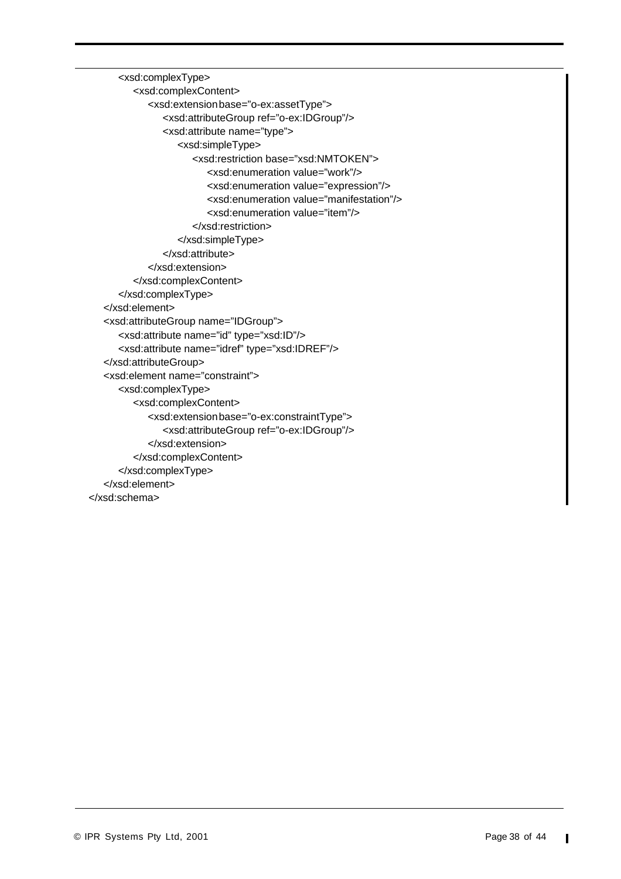<xsd:complexType> <xsd:complexContent> <xsd:extension base="o-ex:assetType"> <xsd:attributeGroup ref="o-ex:IDGroup"/> <xsd:attribute name="type"> <xsd:simpleType> <xsd:restriction base="xsd:NMTOKEN"> <xsd:enumeration value="work"/> <xsd:enumeration value="expression"/> <xsd:enumeration value="manifestation"/> <xsd:enumeration value="item"/> </xsd:restriction> </xsd:simpleType> </xsd:attribute> </xsd:extension> </xsd:complexContent> </xsd:complexType> </xsd:element> <xsd:attributeGroup name="IDGroup"> <xsd:attribute name="id" type="xsd:ID"/> <xsd:attribute name="idref" type="xsd:IDREF"/> </xsd:attributeGroup> <xsd:element name="constraint"> <xsd:complexType> <xsd:complexContent> <xsd:extension base="o-ex:constraintType"> <xsd:attributeGroup ref="o-ex:IDGroup"/> </xsd:extension> </xsd:complexContent> </xsd:complexType> </xsd:element> </xsd:schema>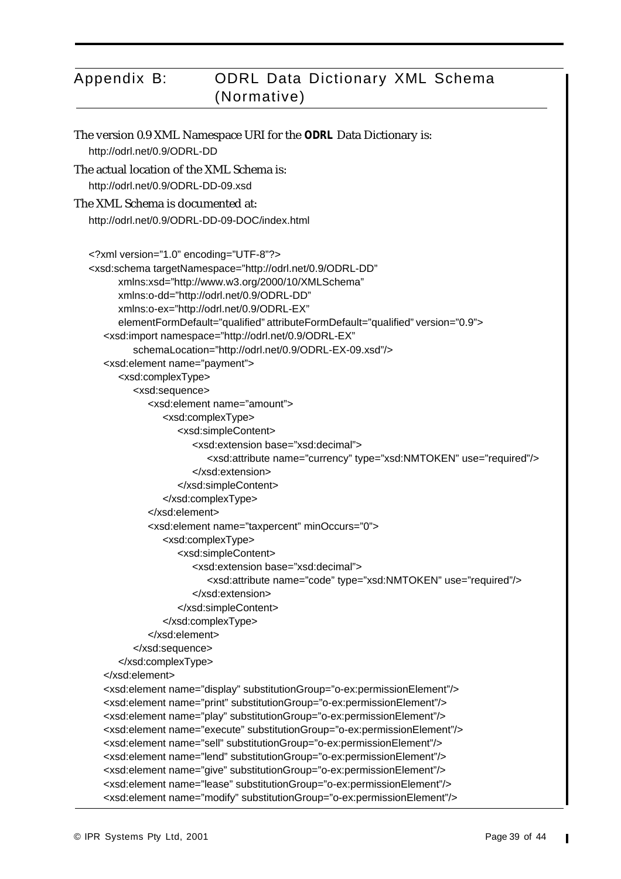# Appendix B: ODRL Data Dictionary XML Schema (Normative)

```
The version 0.9 XML Namespace URI for the ODRL Data Dictionary is:
   http://odrl.net/0.9/ODRL-DD
The actual location of the XML Schema is:
   http://odrl.net/0.9/ODRL-DD-09.xsd
The XML Schema is documented at:
   http://odrl.net/0.9/ODRL-DD-09-DOC/index.html
   <?xml version="1.0" encoding="UTF-8"?>
   <xsd:schema targetNamespace="http://odrl.net/0.9/ODRL-DD"
         xmlns:xsd="http://www.w3.org/2000/10/XMLSchema"
         xmlns:o-dd="http://odrl.net/0.9/ODRL-DD"
        xmlns:o-ex="http://odrl.net/0.9/ODRL-EX"
         elementFormDefault="qualified" attributeFormDefault="qualified" version="0.9">
      <xsd:import namespace="http://odrl.net/0.9/ODRL-EX"
           schemaLocation="http://odrl.net/0.9/ODRL-EX-09.xsd"/>
      <xsd:element name="payment">
         <xsd:complexType>
           <xsd:sequence>
              <xsd:element name="amount">
                  <xsd:complexType>
                    <xsd:simpleContent>
                        <xsd:extension base="xsd:decimal">
                           <xsd:attribute name="currency" type="xsd:NMTOKEN" use="required"/>
                        </xsd:extension>
                     </xsd:simpleContent>
                  </xsd:complexType>
              </xsd:element>
              <xsd:element name="taxpercent" minOccurs="0">
                  <xsd:complexType>
                     <xsd:simpleContent>
                        <xsd:extension base="xsd:decimal">
                           <xsd:attribute name="code" type="xsd:NMTOKEN" use="required"/>
                        </xsd:extension>
                    </xsd:simpleContent>
                  </xsd:complexType>
              </xsd:element>
           </xsd:sequence>
         </xsd:complexType>
      </xsd:element>
      <xsd:element name="display" substitutionGroup="o-ex:permissionElement"/>
      <xsd:element name="print" substitutionGroup="o-ex:permissionElement"/>
      <xsd:element name="play" substitutionGroup="o-ex:permissionElement"/>
      <xsd:element name="execute" substitutionGroup="o-ex:permissionElement"/>
      <xsd:element name="sell" substitutionGroup="o-ex:permissionElement"/>
      <xsd:element name="lend" substitutionGroup="o-ex:permissionElement"/>
      <xsd:element name="give" substitutionGroup="o-ex:permissionElement"/>
      <xsd:element name="lease" substitutionGroup="o-ex:permissionElement"/>
      <xsd:element name="modify" substitutionGroup="o-ex:permissionElement"/>
```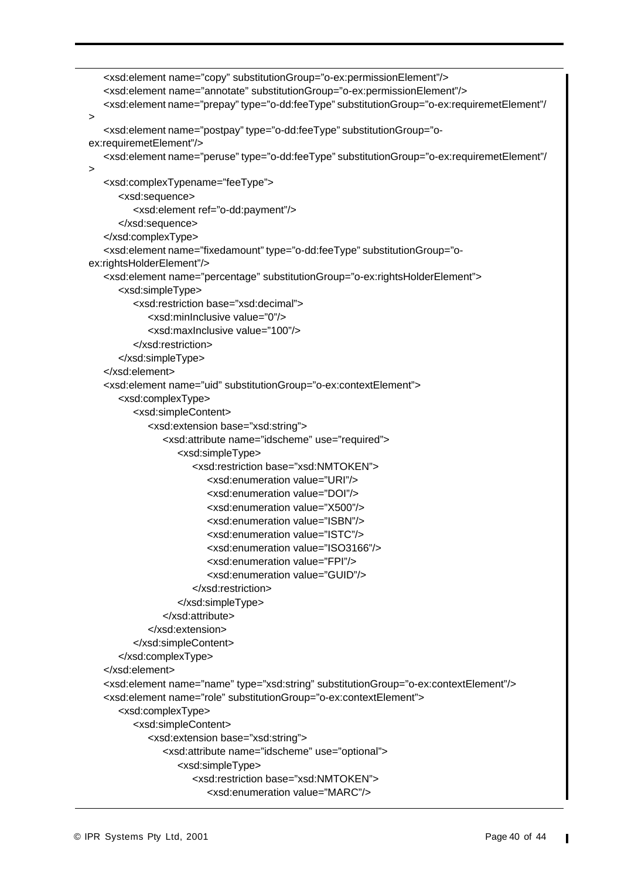```
<xsd:element name="copy" substitutionGroup="o-ex:permissionElement"/>
   <xsd:element name="annotate" substitutionGroup="o-ex:permissionElement"/>
   <xsd:element name="prepay" type="o-dd:feeType" substitutionGroup="o-ex:requiremetElement"/
>
   <xsd:element name="postpay" type="o-dd:feeType" substitutionGroup="o-
ex:requiremetElement"/>
   <xsd:element name="peruse" type="o-dd:feeType" substitutionGroup="o-ex:requiremetElement"/
>
   <xsd:complexTypename="feeType">
      <xsd:sequence>
         <xsd:element ref="o-dd:payment"/>
      </xsd:sequence>
   </xsd:complexType>
   <xsd:element name="fixedamount" type="o-dd:feeType" substitutionGroup="o-
ex:rightsHolderElement"/>
   <xsd:element name="percentage" substitutionGroup="o-ex:rightsHolderElement">
      <xsd:simpleType>
         <xsd:restriction base="xsd:decimal">
            <xsd:minInclusive value="0"/>
            <xsd:maxInclusive value="100"/>
         </xsd:restriction>
      </xsd:simpleType>
   </xsd:element>
   <xsd:element name="uid" substitutionGroup="o-ex:contextElement">
      <xsd:complexType>
         <xsd:simpleContent>
            <xsd:extension base="xsd:string">
               <xsd:attribute name="idscheme" use="required">
                  <xsd:simpleType>
                     <xsd:restriction base="xsd:NMTOKEN">
                        <xsd:enumeration value="URI"/>
                        <xsd:enumeration value="DOI"/>
                        <xsd:enumeration value="X500"/>
                        <xsd:enumeration value="ISBN"/>
                        <xsd:enumeration value="ISTC"/>
                        <xsd:enumeration value="ISO3166"/>
                        <xsd:enumeration value="FPI"/>
                        <xsd:enumeration value="GUID"/>
                     </xsd:restriction>
                  </xsd:simpleType>
               </xsd:attribute>
            </xsd:extension>
         </xsd:simpleContent>
      </xsd:complexType>
   </xsd:element>
   <xsd:element name="name" type="xsd:string" substitutionGroup="o-ex:contextElement"/>
   <xsd:element name="role" substitutionGroup="o-ex:contextElement">
      <xsd:complexType>
         <xsd:simpleContent>
            <xsd:extension base="xsd:string">
               <xsd:attribute name="idscheme" use="optional">
                  <xsd:simpleType>
                     <xsd:restriction base="xsd:NMTOKEN">
                        <xsd:enumeration value="MARC"/>
```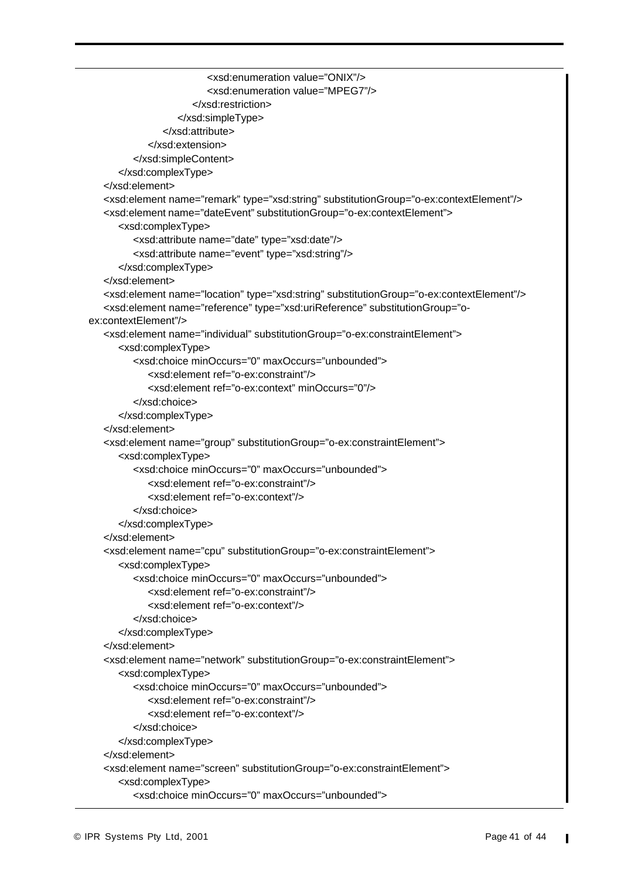```
<xsd:enumeration value="ONIX"/>
                        <xsd:enumeration value="MPEG7"/>
                     </xsd:restriction>
                  </xsd:simpleType>
               </xsd:attribute>
           </xsd:extension>
         </xsd:simpleContent>
      </xsd:complexType>
   </xsd:element>
   <xsd:element name="remark" type="xsd:string" substitutionGroup="o-ex:contextElement"/>
   <xsd:element name="dateEvent" substitutionGroup="o-ex:contextElement">
      <xsd:complexType>
         <xsd:attribute name="date" type="xsd:date"/>
         <xsd:attribute name="event" type="xsd:string"/>
      </xsd:complexType>
   </xsd:element>
   <xsd:element name="location" type="xsd:string" substitutionGroup="o-ex:contextElement"/>
   <xsd:element name="reference" type="xsd:uriReference" substitutionGroup="o-
ex:contextElement"/>
   <xsd:element name="individual" substitutionGroup="o-ex:constraintElement">
      <xsd:complexType>
        <xsd:choice minOccurs="0" maxOccurs="unbounded">
           <xsd:element ref="o-ex:constraint"/>
            <xsd:element ref="o-ex:context" minOccurs="0"/>
        </xsd:choice>
      </xsd:complexType>
   </xsd:element>
   <xsd:element name="group" substitutionGroup="o-ex:constraintElement">
      <xsd:complexType>
        <xsd:choice minOccurs="0" maxOccurs="unbounded">
           <xsd:element ref="o-ex:constraint"/>
            <xsd:element ref="o-ex:context"/>
        </xsd:choice>
      </xsd:complexType>
   </xsd:element>
   <xsd:element name="cpu" substitutionGroup="o-ex:constraintElement">
      <xsd:complexType>
        <xsd:choice minOccurs="0" maxOccurs="unbounded">
           <xsd:element ref="o-ex:constraint"/>
            <xsd:element ref="o-ex:context"/>
        </xsd:choice>
      </xsd:complexType>
   </xsd:element>
   <xsd:element name="network" substitutionGroup="o-ex:constraintElement">
      <xsd:complexType>
        <xsd:choice minOccurs="0" maxOccurs="unbounded">
           <xsd:element ref="o-ex:constraint"/>
            <xsd:element ref="o-ex:context"/>
        </xsd:choice>
      </xsd:complexType>
   </xsd:element>
   <xsd:element name="screen" substitutionGroup="o-ex:constraintElement">
      <xsd:complexType>
         <xsd:choice minOccurs="0" maxOccurs="unbounded">
```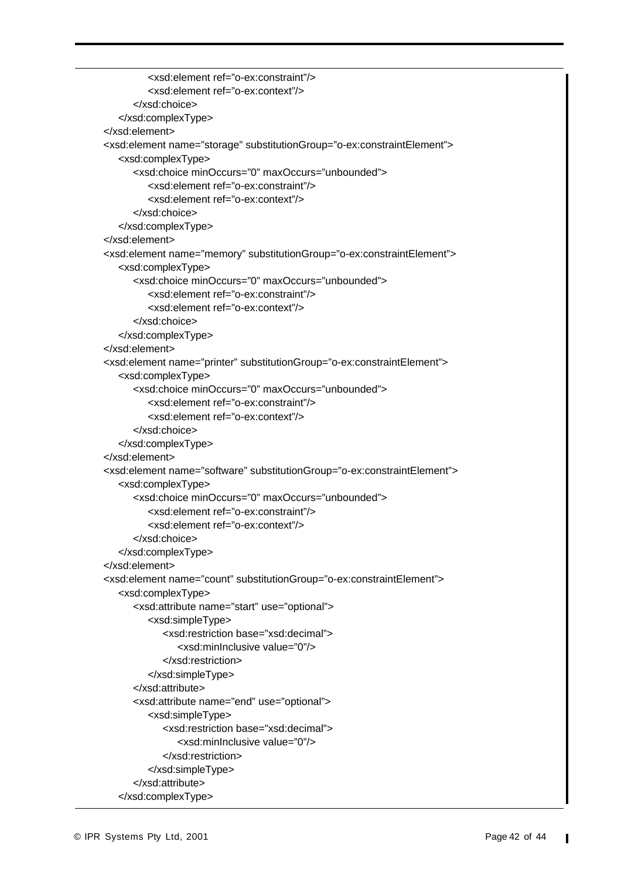```
<xsd:element ref="o-ex:constraint"/>
         <xsd:element ref="o-ex:context"/>
      </xsd:choice>
   </xsd:complexType>
</xsd:element>
<xsd:element name="storage" substitutionGroup="o-ex:constraintElement">
   <xsd:complexType>
     <xsd:choice minOccurs="0" maxOccurs="unbounded">
         <xsd:element ref="o-ex:constraint"/>
         <xsd:element ref="o-ex:context"/>
     </xsd:choice>
   </xsd:complexType>
</xsd:element>
<xsd:element name="memory" substitutionGroup="o-ex:constraintElement">
   <xsd:complexType>
      <xsd:choice minOccurs="0" maxOccurs="unbounded">
         <xsd:element ref="o-ex:constraint"/>
         <xsd:element ref="o-ex:context"/>
     </xsd:choice>
   </xsd:complexType>
</xsd:element>
<xsd:element name="printer" substitutionGroup="o-ex:constraintElement">
   <xsd:complexType>
     <xsd:choice minOccurs="0" maxOccurs="unbounded">
         <xsd:element ref="o-ex:constraint"/>
         <xsd:element ref="o-ex:context"/>
     </xsd:choice>
   </xsd:complexType>
</xsd:element>
<xsd:element name="software" substitutionGroup="o-ex:constraintElement">
   <xsd:complexType>
     <xsd:choice minOccurs="0" maxOccurs="unbounded">
         <xsd:element ref="o-ex:constraint"/>
         <xsd:element ref="o-ex:context"/>
      </xsd:choice>
   </xsd:complexType>
</xsd:element>
<xsd:element name="count" substitutionGroup="o-ex:constraintElement">
   <xsd:complexType>
     <xsd:attribute name="start" use="optional">
         <xsd:simpleType>
            <xsd:restriction base="xsd:decimal">
               <xsd:minInclusive value="0"/>
            </xsd:restriction>
         </xsd:simpleType>
     </xsd:attribute>
     <xsd:attribute name="end" use="optional">
         <xsd:simpleType>
            <xsd:restriction base="xsd:decimal">
               <xsd:minInclusive value="0"/>
            </xsd:restriction>
         </xsd:simpleType>
     </xsd:attribute>
   </xsd:complexType>
```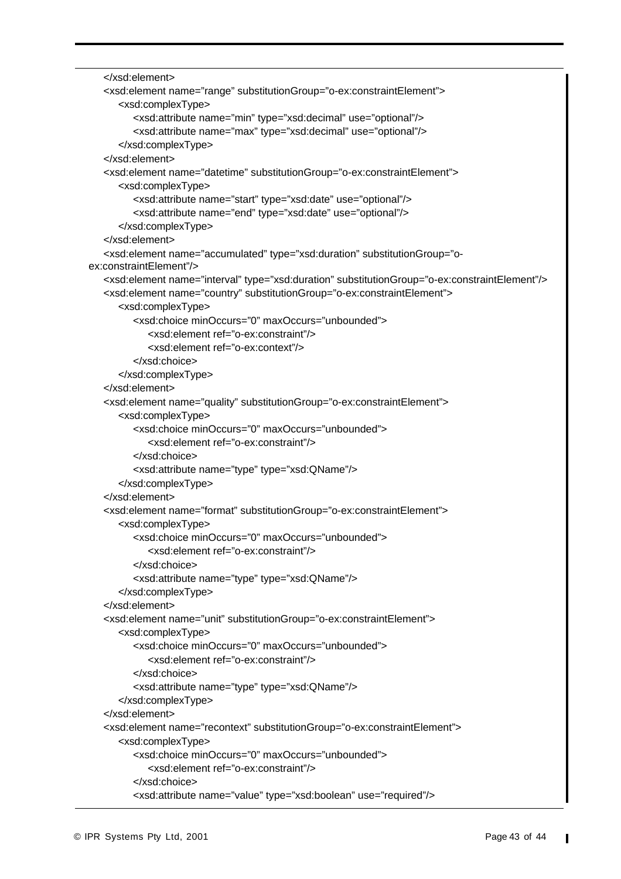```
</xsd:element>
   <xsd:element name="range" substitutionGroup="o-ex:constraintElement">
      <xsd:complexType>
        <xsd:attribute name="min" type="xsd:decimal" use="optional"/>
         <xsd:attribute name="max" type="xsd:decimal" use="optional"/>
      </xsd:complexType>
   </xsd:element>
   <xsd:element name="datetime" substitutionGroup="o-ex:constraintElement">
      <xsd:complexType>
         <xsd:attribute name="start" type="xsd:date" use="optional"/>
        <xsd:attribute name="end" type="xsd:date" use="optional"/>
      </xsd:complexType>
   </xsd:element>
   <xsd:element name="accumulated" type="xsd:duration" substitutionGroup="o-
ex:constraintElement"/>
   <xsd:element name="interval" type="xsd:duration" substitutionGroup="o-ex:constraintElement"/>
   <xsd:element name="country" substitutionGroup="o-ex:constraintElement">
      <xsd:complexType>
        <xsd:choice minOccurs="0" maxOccurs="unbounded">
            <xsd:element ref="o-ex:constraint"/>
            <xsd:element ref="o-ex:context"/>
        </xsd:choice>
      </xsd:complexType>
   </xsd:element>
   <xsd:element name="quality" substitutionGroup="o-ex:constraintElement">
      <xsd:complexType>
        <xsd:choice minOccurs="0" maxOccurs="unbounded">
            <xsd:element ref="o-ex:constraint"/>
        </xsd:choice>
        <xsd:attribute name="type" type="xsd:QName"/>
      </xsd:complexType>
   </xsd:element>
   <xsd:element name="format" substitutionGroup="o-ex:constraintElement">
      <xsd:complexType>
         <xsd:choice minOccurs="0" maxOccurs="unbounded">
            <xsd:element ref="o-ex:constraint"/>
         </xsd:choice>
         <xsd:attribute name="type" type="xsd:QName"/>
      </xsd:complexType>
   </xsd:element>
   <xsd:element name="unit" substitutionGroup="o-ex:constraintElement">
      <xsd:complexType>
        <xsd:choice minOccurs="0" maxOccurs="unbounded">
            <xsd:element ref="o-ex:constraint"/>
         </xsd:choice>
        <xsd:attribute name="type" type="xsd:QName"/>
      </xsd:complexType>
   </xsd:element>
   <xsd:element name="recontext" substitutionGroup="o-ex:constraintElement">
      <xsd:complexType>
         <xsd:choice minOccurs="0" maxOccurs="unbounded">
            <xsd:element ref="o-ex:constraint"/>
        </xsd:choice>
         <xsd:attribute name="value" type="xsd:boolean" use="required"/>
```